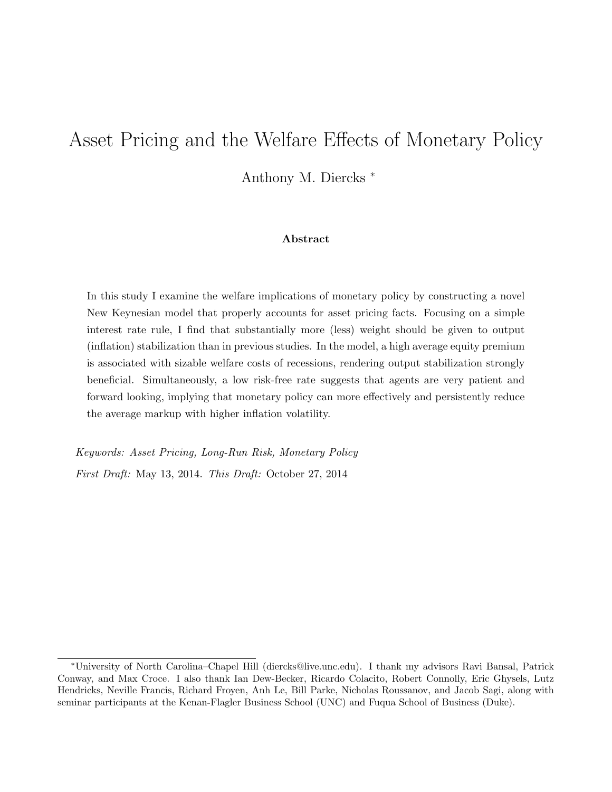# Asset Pricing and the Welfare Effects of Monetary Policy

Anthony M. Diercks <sup>∗</sup>

#### Abstract

In this study I examine the welfare implications of monetary policy by constructing a novel New Keynesian model that properly accounts for asset pricing facts. Focusing on a simple interest rate rule, I find that substantially more (less) weight should be given to output (inflation) stabilization than in previous studies. In the model, a high average equity premium is associated with sizable welfare costs of recessions, rendering output stabilization strongly beneficial. Simultaneously, a low risk-free rate suggests that agents are very patient and forward looking, implying that monetary policy can more effectively and persistently reduce the average markup with higher inflation volatility.

Keywords: Asset Pricing, Long-Run Risk, Monetary Policy First Draft: May 13, 2014. This Draft: October 27, 2014

<sup>∗</sup>University of North Carolina–Chapel Hill (diercks@live.unc.edu). I thank my advisors Ravi Bansal, Patrick Conway, and Max Croce. I also thank Ian Dew-Becker, Ricardo Colacito, Robert Connolly, Eric Ghysels, Lutz Hendricks, Neville Francis, Richard Froyen, Anh Le, Bill Parke, Nicholas Roussanov, and Jacob Sagi, along with seminar participants at the Kenan-Flagler Business School (UNC) and Fuqua School of Business (Duke).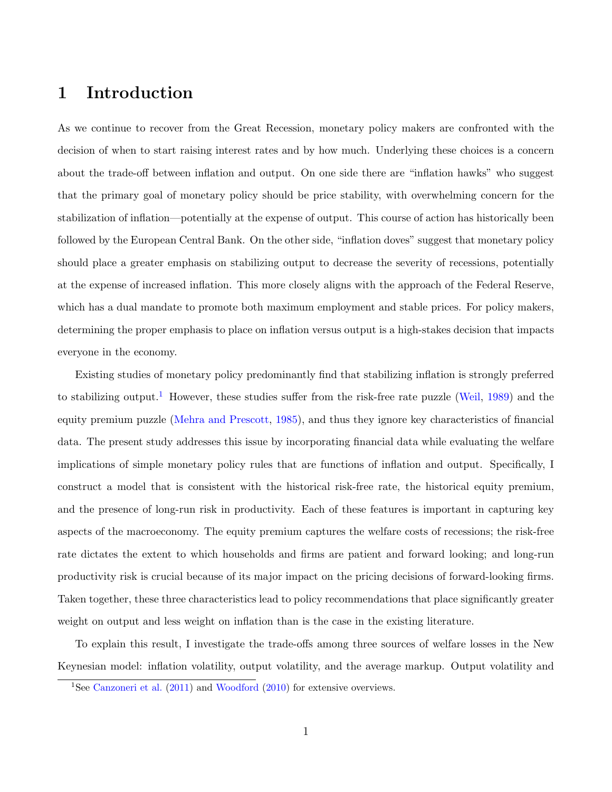## 1 Introduction

As we continue to recover from the Great Recession, monetary policy makers are confronted with the decision of when to start raising interest rates and by how much. Underlying these choices is a concern about the trade-off between inflation and output. On one side there are "inflation hawks" who suggest that the primary goal of monetary policy should be price stability, with overwhelming concern for the stabilization of inflation—potentially at the expense of output. This course of action has historically been followed by the European Central Bank. On the other side, "inflation doves" suggest that monetary policy should place a greater emphasis on stabilizing output to decrease the severity of recessions, potentially at the expense of increased inflation. This more closely aligns with the approach of the Federal Reserve, which has a dual mandate to promote both maximum employment and stable prices. For policy makers, determining the proper emphasis to place on inflation versus output is a high-stakes decision that impacts everyone in the economy.

Existing studies of monetary policy predominantly find that stabilizing inflation is strongly preferred to stabilizing output.<sup>[1](#page-1-0)</sup> However, these studies suffer from the risk-free rate puzzle [\(Weil,](#page-39-0) [1989\)](#page-39-0) and the equity premium puzzle [\(Mehra and Prescott,](#page-38-0) [1985\)](#page-38-0), and thus they ignore key characteristics of financial data. The present study addresses this issue by incorporating financial data while evaluating the welfare implications of simple monetary policy rules that are functions of inflation and output. Specifically, I construct a model that is consistent with the historical risk-free rate, the historical equity premium, and the presence of long-run risk in productivity. Each of these features is important in capturing key aspects of the macroeconomy. The equity premium captures the welfare costs of recessions; the risk-free rate dictates the extent to which households and firms are patient and forward looking; and long-run productivity risk is crucial because of its major impact on the pricing decisions of forward-looking firms. Taken together, these three characteristics lead to policy recommendations that place significantly greater weight on output and less weight on inflation than is the case in the existing literature.

To explain this result, I investigate the trade-offs among three sources of welfare losses in the New Keynesian model: inflation volatility, output volatility, and the average markup. Output volatility and

<span id="page-1-0"></span><sup>&</sup>lt;sup>1</sup>See [Canzoneri et al.](#page-36-0)  $(2011)$  and [Woodford](#page-39-1)  $(2010)$  for extensive overviews.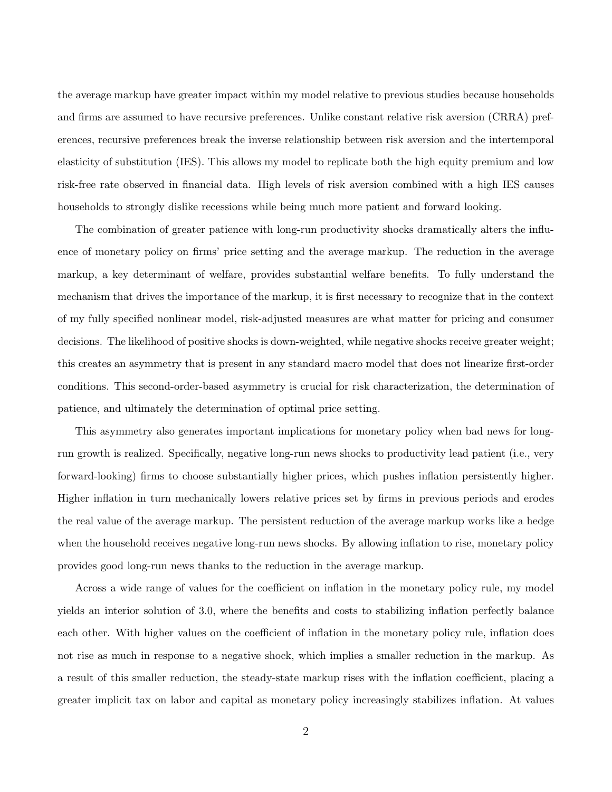the average markup have greater impact within my model relative to previous studies because households and firms are assumed to have recursive preferences. Unlike constant relative risk aversion (CRRA) preferences, recursive preferences break the inverse relationship between risk aversion and the intertemporal elasticity of substitution (IES). This allows my model to replicate both the high equity premium and low risk-free rate observed in financial data. High levels of risk aversion combined with a high IES causes households to strongly dislike recessions while being much more patient and forward looking.

The combination of greater patience with long-run productivity shocks dramatically alters the influence of monetary policy on firms' price setting and the average markup. The reduction in the average markup, a key determinant of welfare, provides substantial welfare benefits. To fully understand the mechanism that drives the importance of the markup, it is first necessary to recognize that in the context of my fully specified nonlinear model, risk-adjusted measures are what matter for pricing and consumer decisions. The likelihood of positive shocks is down-weighted, while negative shocks receive greater weight; this creates an asymmetry that is present in any standard macro model that does not linearize first-order conditions. This second-order-based asymmetry is crucial for risk characterization, the determination of patience, and ultimately the determination of optimal price setting.

This asymmetry also generates important implications for monetary policy when bad news for longrun growth is realized. Specifically, negative long-run news shocks to productivity lead patient (i.e., very forward-looking) firms to choose substantially higher prices, which pushes inflation persistently higher. Higher inflation in turn mechanically lowers relative prices set by firms in previous periods and erodes the real value of the average markup. The persistent reduction of the average markup works like a hedge when the household receives negative long-run news shocks. By allowing inflation to rise, monetary policy provides good long-run news thanks to the reduction in the average markup.

Across a wide range of values for the coefficient on inflation in the monetary policy rule, my model yields an interior solution of 3.0, where the benefits and costs to stabilizing inflation perfectly balance each other. With higher values on the coefficient of inflation in the monetary policy rule, inflation does not rise as much in response to a negative shock, which implies a smaller reduction in the markup. As a result of this smaller reduction, the steady-state markup rises with the inflation coefficient, placing a greater implicit tax on labor and capital as monetary policy increasingly stabilizes inflation. At values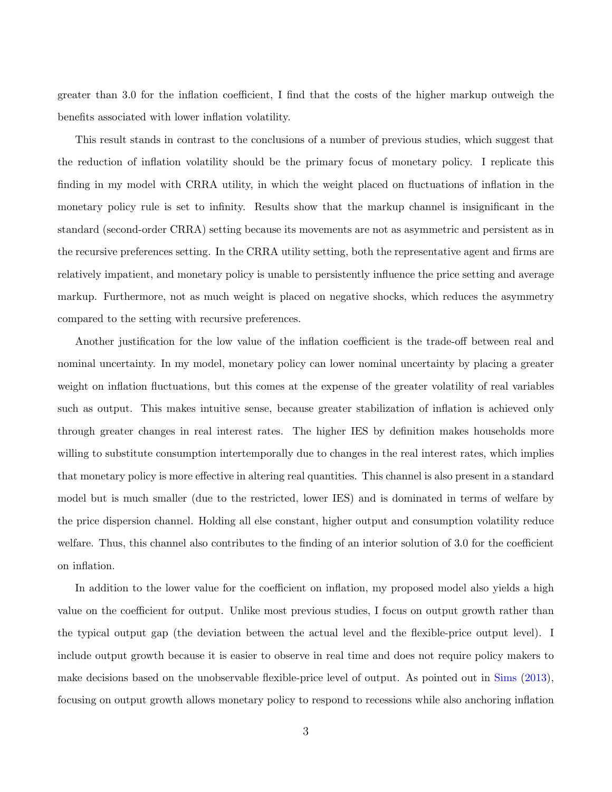greater than 3.0 for the inflation coefficient, I find that the costs of the higher markup outweigh the benefits associated with lower inflation volatility.

This result stands in contrast to the conclusions of a number of previous studies, which suggest that the reduction of inflation volatility should be the primary focus of monetary policy. I replicate this finding in my model with CRRA utility, in which the weight placed on fluctuations of inflation in the monetary policy rule is set to infinity. Results show that the markup channel is insignificant in the standard (second-order CRRA) setting because its movements are not as asymmetric and persistent as in the recursive preferences setting. In the CRRA utility setting, both the representative agent and firms are relatively impatient, and monetary policy is unable to persistently influence the price setting and average markup. Furthermore, not as much weight is placed on negative shocks, which reduces the asymmetry compared to the setting with recursive preferences.

Another justification for the low value of the inflation coefficient is the trade-off between real and nominal uncertainty. In my model, monetary policy can lower nominal uncertainty by placing a greater weight on inflation fluctuations, but this comes at the expense of the greater volatility of real variables such as output. This makes intuitive sense, because greater stabilization of inflation is achieved only through greater changes in real interest rates. The higher IES by definition makes households more willing to substitute consumption intertemporally due to changes in the real interest rates, which implies that monetary policy is more effective in altering real quantities. This channel is also present in a standard model but is much smaller (due to the restricted, lower IES) and is dominated in terms of welfare by the price dispersion channel. Holding all else constant, higher output and consumption volatility reduce welfare. Thus, this channel also contributes to the finding of an interior solution of 3.0 for the coefficient on inflation.

In addition to the lower value for the coefficient on inflation, my proposed model also yields a high value on the coefficient for output. Unlike most previous studies, I focus on output growth rather than the typical output gap (the deviation between the actual level and the flexible-price output level). I include output growth because it is easier to observe in real time and does not require policy makers to make decisions based on the unobservable flexible-price level of output. As pointed out in [Sims](#page-39-2) [\(2013\)](#page-39-2), focusing on output growth allows monetary policy to respond to recessions while also anchoring inflation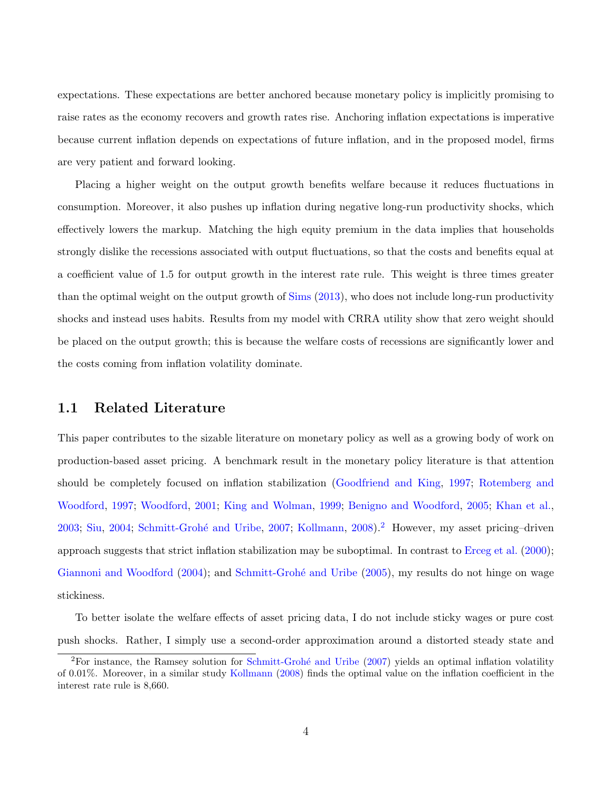expectations. These expectations are better anchored because monetary policy is implicitly promising to raise rates as the economy recovers and growth rates rise. Anchoring inflation expectations is imperative because current inflation depends on expectations of future inflation, and in the proposed model, firms are very patient and forward looking.

Placing a higher weight on the output growth benefits welfare because it reduces fluctuations in consumption. Moreover, it also pushes up inflation during negative long-run productivity shocks, which effectively lowers the markup. Matching the high equity premium in the data implies that households strongly dislike the recessions associated with output fluctuations, so that the costs and benefits equal at a coefficient value of 1.5 for output growth in the interest rate rule. This weight is three times greater than the optimal weight on the output growth of [Sims](#page-39-2) [\(2013\)](#page-39-2), who does not include long-run productivity shocks and instead uses habits. Results from my model with CRRA utility show that zero weight should be placed on the output growth; this is because the welfare costs of recessions are significantly lower and the costs coming from inflation volatility dominate.

#### 1.1 Related Literature

This paper contributes to the sizable literature on monetary policy as well as a growing body of work on production-based asset pricing. A benchmark result in the monetary policy literature is that attention should be completely focused on inflation stabilization [\(Goodfriend and King,](#page-37-0) [1997;](#page-37-0) [Rotemberg and](#page-38-1) [Woodford,](#page-38-1) [1997;](#page-38-1) [Woodford,](#page-39-3) [2001;](#page-39-3) [King and Wolman,](#page-37-1) [1999;](#page-37-1) [Benigno and Woodford,](#page-36-1) [2005;](#page-36-1) [Khan et al.,](#page-37-2) [2003;](#page-37-2) [Siu,](#page-39-4) [2004;](#page-39-4) [Schmitt-Groh´e and Uribe,](#page-38-2) [2007;](#page-38-2) [Kollmann,](#page-37-3) [2008\)](#page-37-3).[2](#page-4-0) However, my asset pricing–driven approach suggests that strict inflation stabilization may be suboptimal. In contrast to [Erceg et al.](#page-37-4) [\(2000\)](#page-37-4); [Giannoni and Woodford](#page-37-5) [\(2004\)](#page-37-5); and Schmitt-Grohé and Uribe [\(2005\)](#page-38-3), my results do not hinge on wage stickiness.

To better isolate the welfare effects of asset pricing data, I do not include sticky wages or pure cost push shocks. Rather, I simply use a second-order approximation around a distorted steady state and

<span id="page-4-0"></span> ${}^{2}$ For instance, the Ramsey solution for Schmitt-Grohé and Uribe [\(2007\)](#page-38-2) yields an optimal inflation volatility of 0.01%. Moreover, in a similar study [Kollmann](#page-37-3) [\(2008\)](#page-37-3) finds the optimal value on the inflation coefficient in the interest rate rule is 8,660.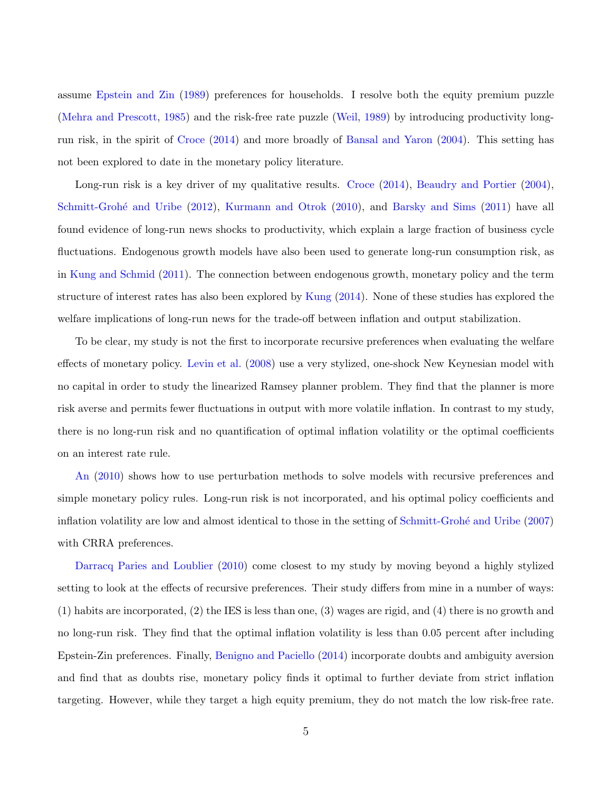assume [Epstein and Zin](#page-36-2) [\(1989\)](#page-36-2) preferences for households. I resolve both the equity premium puzzle [\(Mehra and Prescott,](#page-38-0) [1985\)](#page-38-0) and the risk-free rate puzzle [\(Weil,](#page-39-0) [1989\)](#page-39-0) by introducing productivity longrun risk, in the spirit of [Croce](#page-36-3) [\(2014\)](#page-36-3) and more broadly of [Bansal and Yaron](#page-35-0) [\(2004\)](#page-35-0). This setting has not been explored to date in the monetary policy literature.

Long-run risk is a key driver of my qualitative results. [Croce](#page-36-3) [\(2014\)](#page-36-3), [Beaudry and Portier](#page-35-1) [\(2004\)](#page-35-1), Schmitt-Grohé and Uribe [\(2012\)](#page-38-4), [Kurmann and Otrok](#page-38-5) [\(2010\)](#page-38-5), and [Barsky and Sims](#page-35-2) [\(2011\)](#page-35-2) have all found evidence of long-run news shocks to productivity, which explain a large fraction of business cycle fluctuations. Endogenous growth models have also been used to generate long-run consumption risk, as in [Kung and Schmid](#page-38-6) [\(2011\)](#page-38-6). The connection between endogenous growth, monetary policy and the term structure of interest rates has also been explored by [Kung](#page-38-7) [\(2014\)](#page-38-7). None of these studies has explored the welfare implications of long-run news for the trade-off between inflation and output stabilization.

To be clear, my study is not the first to incorporate recursive preferences when evaluating the welfare effects of monetary policy. [Levin et al.](#page-38-8) [\(2008\)](#page-38-8) use a very stylized, one-shock New Keynesian model with no capital in order to study the linearized Ramsey planner problem. They find that the planner is more risk averse and permits fewer fluctuations in output with more volatile inflation. In contrast to my study, there is no long-run risk and no quantification of optimal inflation volatility or the optimal coefficients on an interest rate rule.

[An](#page-35-3) [\(2010\)](#page-35-3) shows how to use perturbation methods to solve models with recursive preferences and simple monetary policy rules. Long-run risk is not incorporated, and his optimal policy coefficients and inflation volatility are low and almost identical to those in the setting of Schmitt-Grohé and Uribe [\(2007\)](#page-38-2) with CRRA preferences.

[Darracq Paries and Loublier](#page-36-4) [\(2010\)](#page-36-4) come closest to my study by moving beyond a highly stylized setting to look at the effects of recursive preferences. Their study differs from mine in a number of ways: (1) habits are incorporated, (2) the IES is less than one, (3) wages are rigid, and (4) there is no growth and no long-run risk. They find that the optimal inflation volatility is less than 0.05 percent after including Epstein-Zin preferences. Finally, [Benigno and Paciello](#page-36-5) [\(2014\)](#page-36-5) incorporate doubts and ambiguity aversion and find that as doubts rise, monetary policy finds it optimal to further deviate from strict inflation targeting. However, while they target a high equity premium, they do not match the low risk-free rate.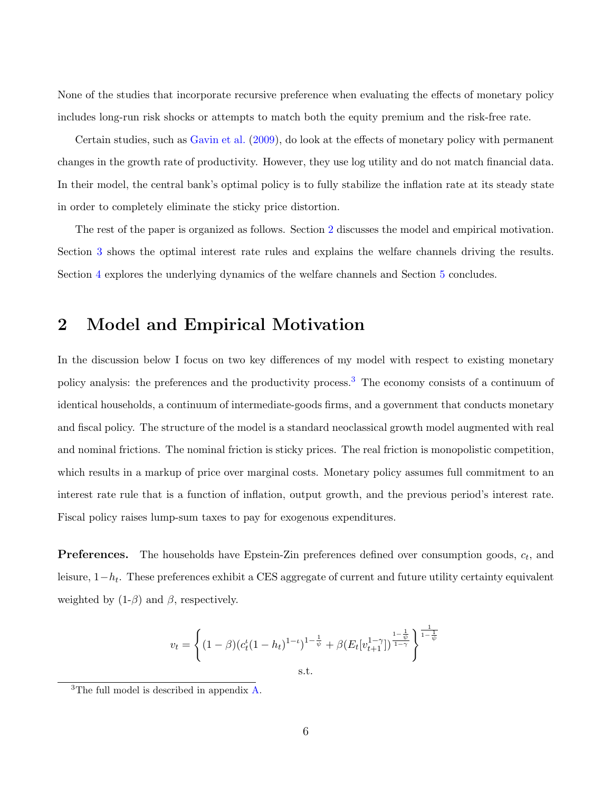None of the studies that incorporate recursive preference when evaluating the effects of monetary policy includes long-run risk shocks or attempts to match both the equity premium and the risk-free rate.

Certain studies, such as [Gavin et al.](#page-37-6) [\(2009\)](#page-37-6), do look at the effects of monetary policy with permanent changes in the growth rate of productivity. However, they use log utility and do not match financial data. In their model, the central bank's optimal policy is to fully stabilize the inflation rate at its steady state in order to completely eliminate the sticky price distortion.

The rest of the paper is organized as follows. Section [2](#page-6-0) discusses the model and empirical motivation. Section [3](#page-22-0) shows the optimal interest rate rules and explains the welfare channels driving the results. Section [4](#page-30-0) explores the underlying dynamics of the welfare channels and Section [5](#page-33-0) concludes.

## <span id="page-6-0"></span>2 Model and Empirical Motivation

In the discussion below I focus on two key differences of my model with respect to existing monetary policy analysis: the preferences and the productivity process.[3](#page-6-1) The economy consists of a continuum of identical households, a continuum of intermediate-goods firms, and a government that conducts monetary and fiscal policy. The structure of the model is a standard neoclassical growth model augmented with real and nominal frictions. The nominal friction is sticky prices. The real friction is monopolistic competition, which results in a markup of price over marginal costs. Monetary policy assumes full commitment to an interest rate rule that is a function of inflation, output growth, and the previous period's interest rate. Fiscal policy raises lump-sum taxes to pay for exogenous expenditures.

**Preferences.** The households have Epstein-Zin preferences defined over consumption goods,  $c_t$ , and leisure, 1−h<sup>t</sup> . These preferences exhibit a CES aggregate of current and future utility certainty equivalent weighted by  $(1-\beta)$  and  $\beta$ , respectively.

<span id="page-6-2"></span>
$$
v_t = \left\{ (1 - \beta)(c_t^{\iota}(1 - h_t)^{1 - \iota})^{1 - \frac{1}{\psi}} + \beta(E_t[v_{t+1}^{1 - \gamma}])^{\frac{1 - \frac{1}{\psi}}{1 - \frac{1}{\psi}}}\right\}^{\frac{1}{1 - \frac{1}{\psi}}}
$$
  
s.t.

<span id="page-6-1"></span><sup>&</sup>lt;sup>3</sup>The full model is described in appendix  $A$ .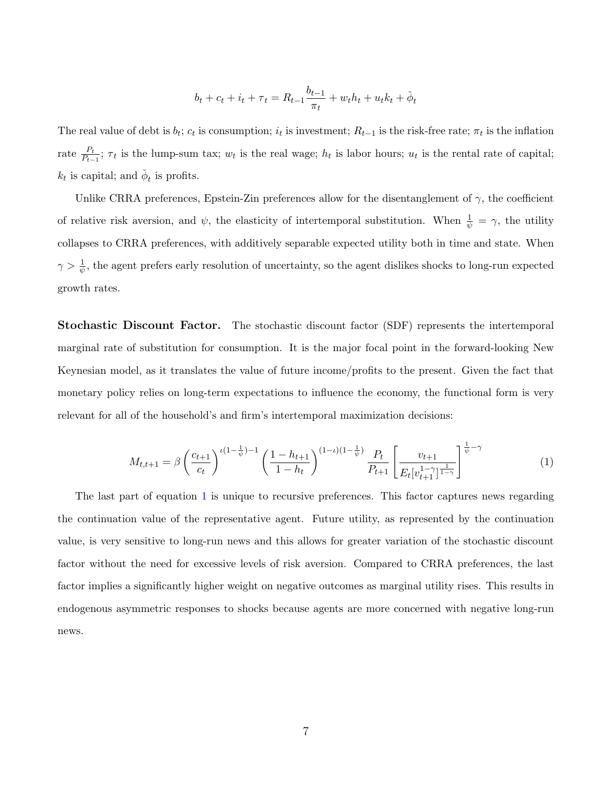$$
b_t + c_t + i_t + \tau_t = R_{t-1} \frac{b_{t-1}}{\pi_t} + w_t h_t + u_t k_t + \phi_t
$$

The real value of debt is  $b_t$ ;  $c_t$  is consumption;  $i_t$  is investment;  $R_{t-1}$  is the risk-free rate;  $\pi_t$  is the inflation rate  $\frac{P_t}{P_{t-1}}$ ;  $\tau_t$  is the lump-sum tax;  $w_t$  is the real wage;  $h_t$  is labor hours;  $u_t$  is the rental rate of capital;  $k_t$  is capital; and  $\check{\phi}_t$  is profits.

Unlike CRRA preferences, Epstein-Zin preferences allow for the disentanglement of  $\gamma$ , the coefficient of relative risk aversion, and  $\psi$ , the elasticity of intertemporal substitution. When  $\frac{1}{\psi} = \gamma$ , the utility collapses to CRRA preferences, with additively separable expected utility both in time and state. When  $\gamma > \frac{1}{\psi}$ , the agent prefers early resolution of uncertainty, so the agent dislikes shocks to long-run expected growth rates.

Stochastic Discount Factor. The stochastic discount factor (SDF) represents the intertemporal marginal rate of substitution for consumption. It is the major focal point in the forward-looking New Keynesian model, as it translates the value of future income/profits to the present. Given the fact that monetary policy relies on long-term expectations to influence the economy, the functional form is very relevant for all of the household's and firm's intertemporal maximization decisions:

$$
M_{t,t+1} = \beta \left(\frac{c_{t+1}}{c_t}\right)^{\iota(1-\frac{1}{\psi})-1} \left(\frac{1-h_{t+1}}{1-h_t}\right)^{(1-\iota)(1-\frac{1}{\psi})} \frac{P_t}{P_{t+1}} \left[\frac{v_{t+1}}{E_t[v_{t+1}^{1-\gamma}]^{\frac{1}{1-\gamma}}}\right]^{\frac{1}{\psi}-\gamma} \tag{1}
$$

The last part of equation [1](#page-6-2) is unique to recursive preferences. This factor captures news regarding the continuation value of the representative agent. Future utility, as represented by the continuation value, is very sensitive to long-run news and this allows for greater variation of the stochastic discount factor without the need for excessive levels of risk aversion. Compared to CRRA preferences, the last factor implies a significantly higher weight on negative outcomes as marginal utility rises. This results in endogenous asymmetric responses to shocks because agents are more concerned with negative long-run news.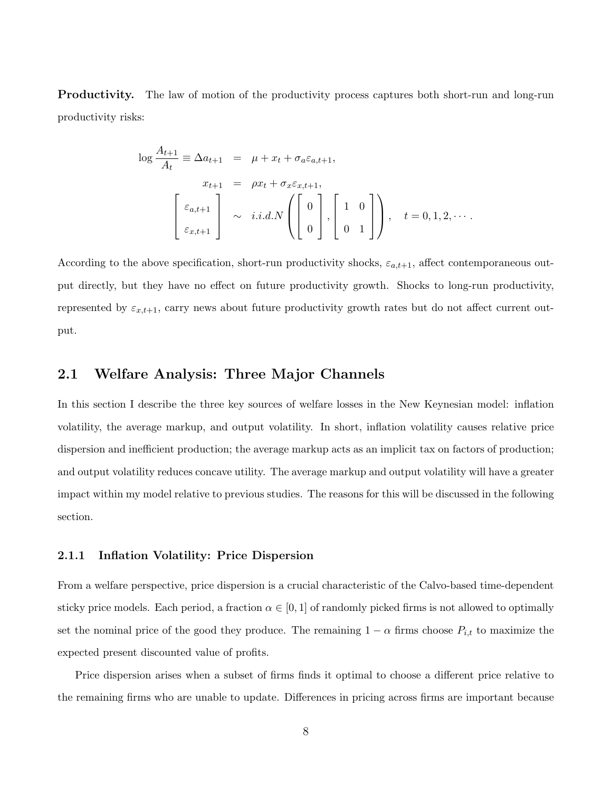**Productivity.** The law of motion of the productivity process captures both short-run and long-run productivity risks:

<span id="page-8-0"></span>
$$
\log \frac{A_{t+1}}{A_t} \equiv \Delta a_{t+1} = \mu + x_t + \sigma_a \varepsilon_{a,t+1},
$$
  

$$
x_{t+1} = \rho x_t + \sigma_x \varepsilon_{x,t+1},
$$
  

$$
\begin{bmatrix} \varepsilon_{a,t+1} \\ \varepsilon_{x,t+1} \end{bmatrix} \sim i.i.d.N \left( \begin{bmatrix} 0 \\ 0 \\ 0 \end{bmatrix}, \begin{bmatrix} 1 & 0 \\ 0 & 1 \end{bmatrix} \right), \quad t = 0, 1, 2, \cdots.
$$

According to the above specification, short-run productivity shocks,  $\varepsilon_{a,t+1}$ , affect contemporaneous output directly, but they have no effect on future productivity growth. Shocks to long-run productivity, represented by  $\varepsilon_{x,t+1}$ , carry news about future productivity growth rates but do not affect current output.

#### 2.1 Welfare Analysis: Three Major Channels

In this section I describe the three key sources of welfare losses in the New Keynesian model: inflation volatility, the average markup, and output volatility. In short, inflation volatility causes relative price dispersion and inefficient production; the average markup acts as an implicit tax on factors of production; and output volatility reduces concave utility. The average markup and output volatility will have a greater impact within my model relative to previous studies. The reasons for this will be discussed in the following section.

#### 2.1.1 Inflation Volatility: Price Dispersion

From a welfare perspective, price dispersion is a crucial characteristic of the Calvo-based time-dependent sticky price models. Each period, a fraction  $\alpha \in [0,1]$  of randomly picked firms is not allowed to optimally set the nominal price of the good they produce. The remaining  $1 - \alpha$  firms choose  $P_{i,t}$  to maximize the expected present discounted value of profits.

Price dispersion arises when a subset of firms finds it optimal to choose a different price relative to the remaining firms who are unable to update. Differences in pricing across firms are important because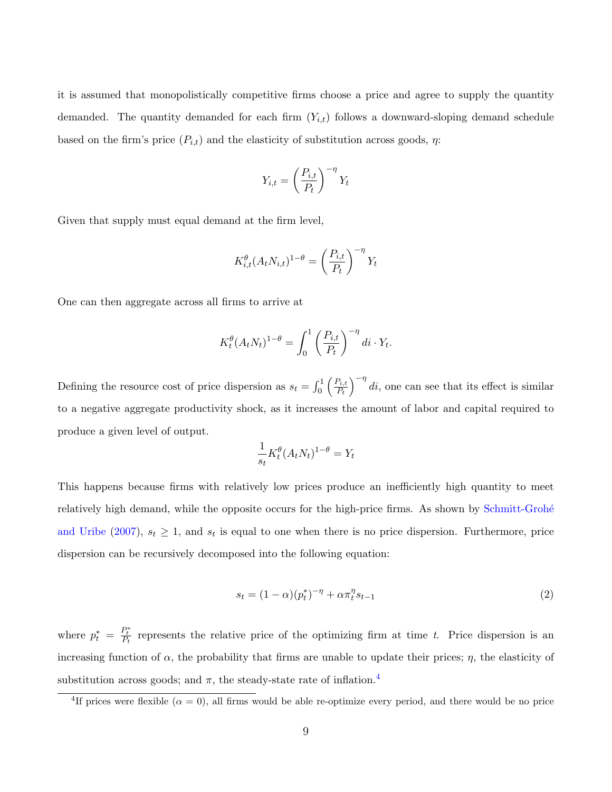it is assumed that monopolistically competitive firms choose a price and agree to supply the quantity demanded. The quantity demanded for each firm  $(Y_{i,t})$  follows a downward-sloping demand schedule based on the firm's price  $(P_{i,t})$  and the elasticity of substitution across goods,  $\eta$ :

$$
Y_{i,t} = \left(\frac{P_{i,t}}{P_t}\right)^{-\eta} Y_t
$$

Given that supply must equal demand at the firm level,

$$
K_{i,t}^{\theta}(A_t N_{i,t})^{1-\theta} = \left(\frac{P_{i,t}}{P_t}\right)^{-\eta} Y_t
$$

One can then aggregate across all firms to arrive at

$$
K_t^{\theta} (A_t N_t)^{1-\theta} = \int_0^1 \left(\frac{P_{i,t}}{P_t}\right)^{-\eta} di \cdot Y_t.
$$

Defining the resource cost of price dispersion as  $s_t = \int_0^1 \left( \frac{P_{i,t}}{P_t} \right)$  $\left( \frac{P_{i,t}}{P_t} \right)^{-\eta}$  di, one can see that its effect is similar to a negative aggregate productivity shock, as it increases the amount of labor and capital required to produce a given level of output.

$$
\frac{1}{s_t} K_t^{\theta} (A_t N_t)^{1-\theta} = Y_t
$$

This happens because firms with relatively low prices produce an inefficiently high quantity to meet relatively high demand, while the opposite occurs for the high-price firms. As shown by Schmitt-Grohé [and Uribe](#page-38-2) [\(2007\)](#page-38-2),  $s_t \geq 1$ , and  $s_t$  is equal to one when there is no price dispersion. Furthermore, price dispersion can be recursively decomposed into the following equation:

$$
s_t = (1 - \alpha)(p_t^*)^{-\eta} + \alpha \pi_t^{\eta} s_{t-1}
$$
\n(2)

where  $p_t^* = \frac{P_t^*}{P_t}$  represents the relative price of the optimizing firm at time t. Price dispersion is an increasing function of  $\alpha$ , the probability that firms are unable to update their prices;  $\eta$ , the elasticity of substitution across goods; and  $\pi$ , the steady-state rate of inflation.<sup>[4](#page-9-0)</sup>

<span id="page-9-0"></span><sup>&</sup>lt;sup>4</sup>If prices were flexible  $(\alpha = 0)$ , all firms would be able re-optimize every period, and there would be no price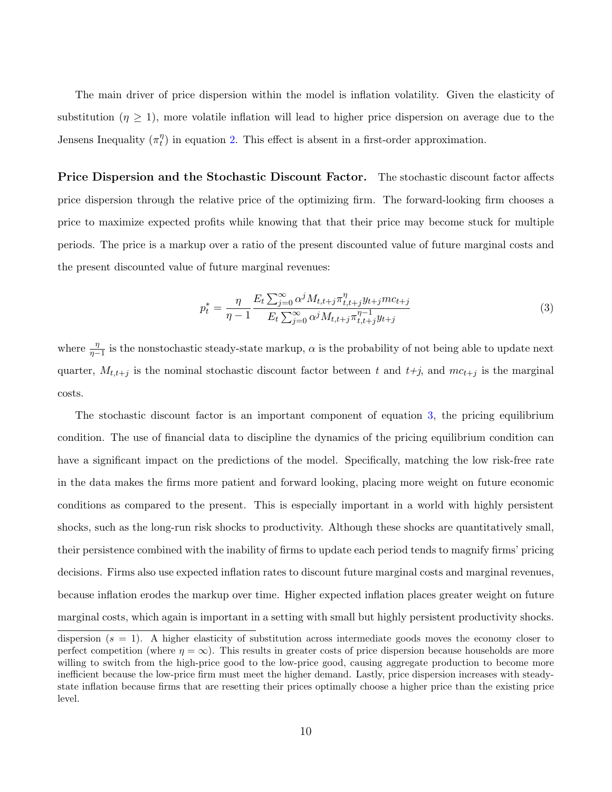The main driver of price dispersion within the model is inflation volatility. Given the elasticity of substitution ( $\eta \geq 1$ ), more volatile inflation will lead to higher price dispersion on average due to the Jensens Inequality  $(\pi_t^{\eta})$  $t<sub>t</sub><sup>η</sup>$ ) in equation [2.](#page-8-0) This effect is absent in a first-order approximation.

Price Dispersion and the Stochastic Discount Factor. The stochastic discount factor affects price dispersion through the relative price of the optimizing firm. The forward-looking firm chooses a price to maximize expected profits while knowing that that their price may become stuck for multiple periods. The price is a markup over a ratio of the present discounted value of future marginal costs and the present discounted value of future marginal revenues:

<span id="page-10-0"></span>
$$
p_t^* = \frac{\eta}{\eta - 1} \frac{E_t \sum_{j=0}^{\infty} \alpha^j M_{t, t+j} \pi_{t, t+j}^{\eta} y_{t+j} m c_{t+j}}{E_t \sum_{j=0}^{\infty} \alpha^j M_{t, t+j} \pi_{t, t+j}^{\eta - 1} y_{t+j}}
$$
(3)

where  $\frac{\eta}{\eta-1}$  is the nonstochastic steady-state markup,  $\alpha$  is the probability of not being able to update next quarter,  $M_{t,t+j}$  is the nominal stochastic discount factor between t and  $t+j$ , and  $mc_{t+j}$  is the marginal costs.

The stochastic discount factor is an important component of equation [3,](#page-10-0) the pricing equilibrium condition. The use of financial data to discipline the dynamics of the pricing equilibrium condition can have a significant impact on the predictions of the model. Specifically, matching the low risk-free rate in the data makes the firms more patient and forward looking, placing more weight on future economic conditions as compared to the present. This is especially important in a world with highly persistent shocks, such as the long-run risk shocks to productivity. Although these shocks are quantitatively small, their persistence combined with the inability of firms to update each period tends to magnify firms' pricing decisions. Firms also use expected inflation rates to discount future marginal costs and marginal revenues, because inflation erodes the markup over time. Higher expected inflation places greater weight on future marginal costs, which again is important in a setting with small but highly persistent productivity shocks.

dispersion  $(s = 1)$ . A higher elasticity of substitution across intermediate goods moves the economy closer to perfect competition (where  $\eta = \infty$ ). This results in greater costs of price dispersion because households are more willing to switch from the high-price good to the low-price good, causing aggregate production to become more inefficient because the low-price firm must meet the higher demand. Lastly, price dispersion increases with steadystate inflation because firms that are resetting their prices optimally choose a higher price than the existing price level.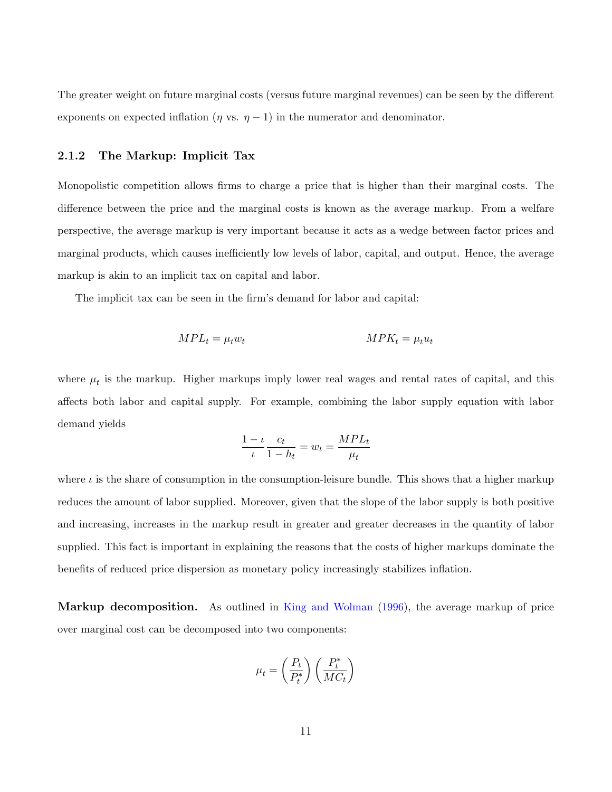The greater weight on future marginal costs (versus future marginal revenues) can be seen by the different exponents on expected inflation ( $\eta$  vs.  $\eta$  – 1) in the numerator and denominator.

#### 2.1.2 The Markup: Implicit Tax

Monopolistic competition allows firms to charge a price that is higher than their marginal costs. The difference between the price and the marginal costs is known as the average markup. From a welfare perspective, the average markup is very important because it acts as a wedge between factor prices and marginal products, which causes inefficiently low levels of labor, capital, and output. Hence, the average markup is akin to an implicit tax on capital and labor.

The implicit tax can be seen in the firm's demand for labor and capital:

$$
MPL_t = \mu_t w_t \qquad \qquad MPK_t = \mu_t u_t
$$

where  $\mu_t$  is the markup. Higher markups imply lower real wages and rental rates of capital, and this affects both labor and capital supply. For example, combining the labor supply equation with labor demand yields

$$
\frac{1-\iota}{\iota}\frac{c_t}{1-h_t} = w_t = \frac{MPL_t}{\mu_t}
$$

where  $\iota$  is the share of consumption in the consumption-leisure bundle. This shows that a higher markup reduces the amount of labor supplied. Moreover, given that the slope of the labor supply is both positive and increasing, increases in the markup result in greater and greater decreases in the quantity of labor supplied. This fact is important in explaining the reasons that the costs of higher markups dominate the benefits of reduced price dispersion as monetary policy increasingly stabilizes inflation.

Markup decomposition. As outlined in [King and Wolman](#page-37-7) [\(1996\)](#page-37-7), the average markup of price over marginal cost can be decomposed into two components:

$$
\mu_t = \left(\frac{P_t}{P_t^*}\right)\left(\frac{P_t^*}{MC_t}\right)
$$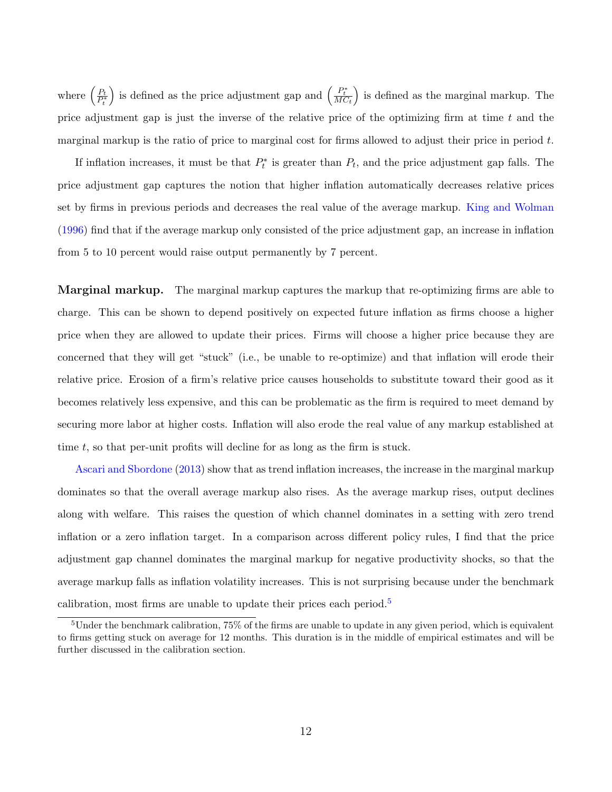where  $\left(\frac{P_t}{P_t^*}\right)$ ) is defined as the price adjustment gap and  $\left(\frac{P_t^*}{MC_t}\right)$  is defined as the marginal markup. The price adjustment gap is just the inverse of the relative price of the optimizing firm at time  $t$  and the marginal markup is the ratio of price to marginal cost for firms allowed to adjust their price in period  $t$ .

If inflation increases, it must be that  $P_t^*$  is greater than  $P_t$ , and the price adjustment gap falls. The price adjustment gap captures the notion that higher inflation automatically decreases relative prices set by firms in previous periods and decreases the real value of the average markup. [King and Wolman](#page-37-7) [\(1996\)](#page-37-7) find that if the average markup only consisted of the price adjustment gap, an increase in inflation from 5 to 10 percent would raise output permanently by 7 percent.

Marginal markup. The marginal markup captures the markup that re-optimizing firms are able to charge. This can be shown to depend positively on expected future inflation as firms choose a higher price when they are allowed to update their prices. Firms will choose a higher price because they are concerned that they will get "stuck" (i.e., be unable to re-optimize) and that inflation will erode their relative price. Erosion of a firm's relative price causes households to substitute toward their good as it becomes relatively less expensive, and this can be problematic as the firm is required to meet demand by securing more labor at higher costs. Inflation will also erode the real value of any markup established at time t, so that per-unit profits will decline for as long as the firm is stuck.

[Ascari and Sbordone](#page-35-4) [\(2013\)](#page-35-4) show that as trend inflation increases, the increase in the marginal markup dominates so that the overall average markup also rises. As the average markup rises, output declines along with welfare. This raises the question of which channel dominates in a setting with zero trend inflation or a zero inflation target. In a comparison across different policy rules, I find that the price adjustment gap channel dominates the marginal markup for negative productivity shocks, so that the average markup falls as inflation volatility increases. This is not surprising because under the benchmark calibration, most firms are unable to update their prices each period.<sup>[5](#page-12-0)</sup>

<span id="page-12-0"></span> $5$ Under the benchmark calibration, 75% of the firms are unable to update in any given period, which is equivalent to firms getting stuck on average for 12 months. This duration is in the middle of empirical estimates and will be further discussed in the calibration section.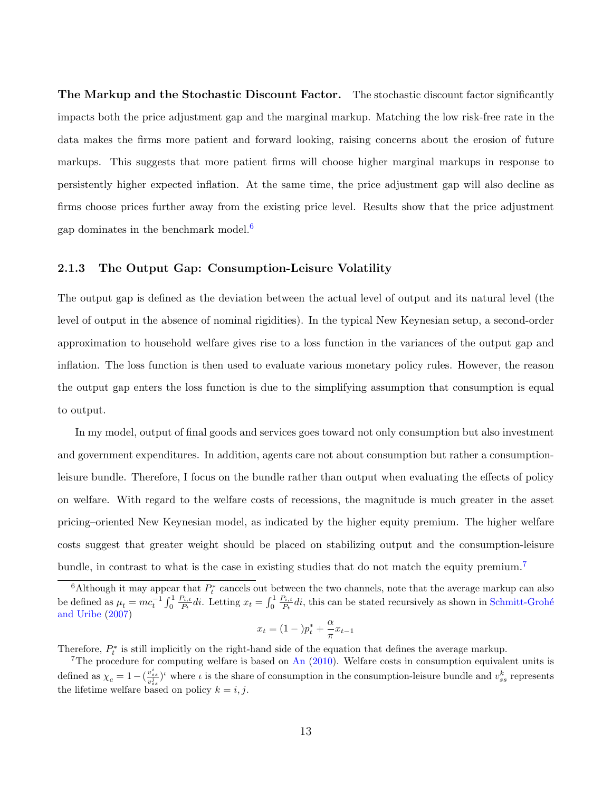The Markup and the Stochastic Discount Factor. The stochastic discount factor significantly impacts both the price adjustment gap and the marginal markup. Matching the low risk-free rate in the data makes the firms more patient and forward looking, raising concerns about the erosion of future markups. This suggests that more patient firms will choose higher marginal markups in response to persistently higher expected inflation. At the same time, the price adjustment gap will also decline as firms choose prices further away from the existing price level. Results show that the price adjustment gap dominates in the benchmark model.<sup>[6](#page-13-0)</sup>

#### 2.1.3 The Output Gap: Consumption-Leisure Volatility

The output gap is defined as the deviation between the actual level of output and its natural level (the level of output in the absence of nominal rigidities). In the typical New Keynesian setup, a second-order approximation to household welfare gives rise to a loss function in the variances of the output gap and inflation. The loss function is then used to evaluate various monetary policy rules. However, the reason the output gap enters the loss function is due to the simplifying assumption that consumption is equal to output.

In my model, output of final goods and services goes toward not only consumption but also investment and government expenditures. In addition, agents care not about consumption but rather a consumptionleisure bundle. Therefore, I focus on the bundle rather than output when evaluating the effects of policy on welfare. With regard to the welfare costs of recessions, the magnitude is much greater in the asset pricing–oriented New Keynesian model, as indicated by the higher equity premium. The higher welfare costs suggest that greater weight should be placed on stabilizing output and the consumption-leisure bundle, in contrast to what is the case in existing studies that do not match the equity premium.<sup>[7](#page-13-1)</sup>

$$
x_t = (1 - p_t^* + \frac{\alpha}{\pi} x_{t-1})
$$

Therefore,  $P_t^*$  is still implicitly on the right-hand side of the equation that defines the average markup.

<span id="page-13-0"></span><sup>&</sup>lt;sup>6</sup>Although it may appear that  $P_t^*$  cancels out between the two channels, note that the average markup can also be defined as  $\mu_t = mc_t^{-1} \int_0^1$  $P_{i,t}$  $P_{i,t} \overline{P_t}$ di. Letting  $x_t = \int_0^1$  $P_{i,t}$  $P_t^{i,t}$  di, this can be stated recursively as shown in Schmitt-Grohé [and Uribe](#page-38-2) [\(2007\)](#page-38-2)

<span id="page-13-1"></span><sup>&</sup>lt;sup>7</sup>The procedure for computing welfare is based on [An](#page-35-3)  $(2010)$ . Welfare costs in consumption equivalent units is defined as  $\chi_c = 1-(\frac{v_{ss}^i}{v_{ss}^j})^i$  where  $\iota$  is the share of consumption in the consumption-leisure bundle and  $v_{ss}^k$  represents the lifetime welfare based on policy  $k = i, j$ .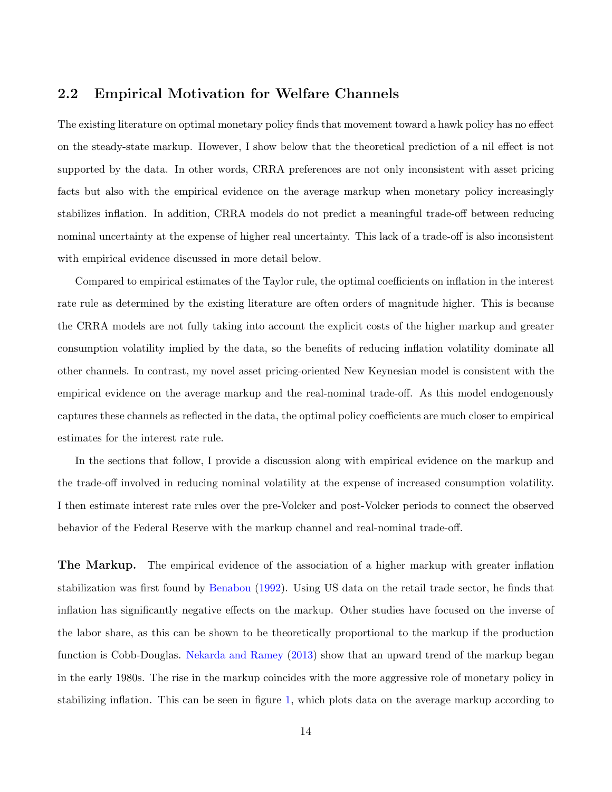## 2.2 Empirical Motivation for Welfare Channels

The existing literature on optimal monetary policy finds that movement toward a hawk policy has no effect on the steady-state markup. However, I show below that the theoretical prediction of a nil effect is not supported by the data. In other words, CRRA preferences are not only inconsistent with asset pricing facts but also with the empirical evidence on the average markup when monetary policy increasingly stabilizes inflation. In addition, CRRA models do not predict a meaningful trade-off between reducing nominal uncertainty at the expense of higher real uncertainty. This lack of a trade-off is also inconsistent with empirical evidence discussed in more detail below.

Compared to empirical estimates of the Taylor rule, the optimal coefficients on inflation in the interest rate rule as determined by the existing literature are often orders of magnitude higher. This is because the CRRA models are not fully taking into account the explicit costs of the higher markup and greater consumption volatility implied by the data, so the benefits of reducing inflation volatility dominate all other channels. In contrast, my novel asset pricing-oriented New Keynesian model is consistent with the empirical evidence on the average markup and the real-nominal trade-off. As this model endogenously captures these channels as reflected in the data, the optimal policy coefficients are much closer to empirical estimates for the interest rate rule.

In the sections that follow, I provide a discussion along with empirical evidence on the markup and the trade-off involved in reducing nominal volatility at the expense of increased consumption volatility. I then estimate interest rate rules over the pre-Volcker and post-Volcker periods to connect the observed behavior of the Federal Reserve with the markup channel and real-nominal trade-off.

The Markup. The empirical evidence of the association of a higher markup with greater inflation stabilization was first found by [Benabou](#page-35-5) [\(1992\)](#page-35-5). Using US data on the retail trade sector, he finds that inflation has significantly negative effects on the markup. Other studies have focused on the inverse of the labor share, as this can be shown to be theoretically proportional to the markup if the production function is Cobb-Douglas. [Nekarda and Ramey](#page-38-9) [\(2013\)](#page-38-9) show that an upward trend of the markup began in the early 1980s. The rise in the markup coincides with the more aggressive role of monetary policy in stabilizing inflation. This can be seen in figure [1,](#page-15-0) which plots data on the average markup according to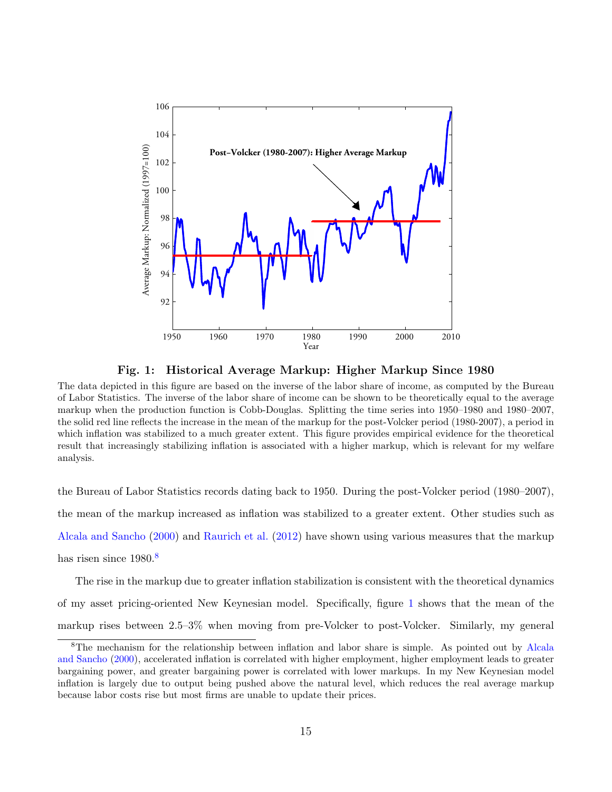

<span id="page-15-0"></span>Fig. 1: Historical Average Markup: Higher Markup Since 1980

The data depicted in this figure are based on the inverse of the labor share of income, as computed by the Bureau of Labor Statistics. The inverse of the labor share of income can be shown to be theoretically equal to the average markup when the production function is Cobb-Douglas. Splitting the time series into 1950–1980 and 1980–2007, the solid red line reflects the increase in the mean of the markup for the post-Volcker period (1980-2007), a period in which inflation was stabilized to a much greater extent. This figure provides empirical evidence for the theoretical result that increasingly stabilizing inflation is associated with a higher markup, which is relevant for my welfare analysis.

the Bureau of Labor Statistics records dating back to 1950. During the post-Volcker period (1980–2007), the mean of the markup increased as inflation was stabilized to a greater extent. Other studies such as [Alcala and Sancho](#page-35-6) [\(2000\)](#page-35-6) and [Raurich et al.](#page-38-10) [\(2012\)](#page-38-10) have shown using various measures that the markup has risen since  $1980<sup>8</sup>$  $1980<sup>8</sup>$  $1980<sup>8</sup>$ 

The rise in the markup due to greater inflation stabilization is consistent with the theoretical dynamics of my asset pricing-oriented New Keynesian model. Specifically, figure [1](#page-15-0) shows that the mean of the markup rises between 2.5–3% when moving from pre-Volcker to post-Volcker. Similarly, my general

<span id="page-15-1"></span><sup>8</sup>The mechanism for the relationship between inflation and labor share is simple. As pointed out by [Alcala](#page-35-6) [and Sancho](#page-35-6) [\(2000\)](#page-35-6), accelerated inflation is correlated with higher employment, higher employment leads to greater bargaining power, and greater bargaining power is correlated with lower markups. In my New Keynesian model inflation is largely due to output being pushed above the natural level, which reduces the real average markup because labor costs rise but most firms are unable to update their prices.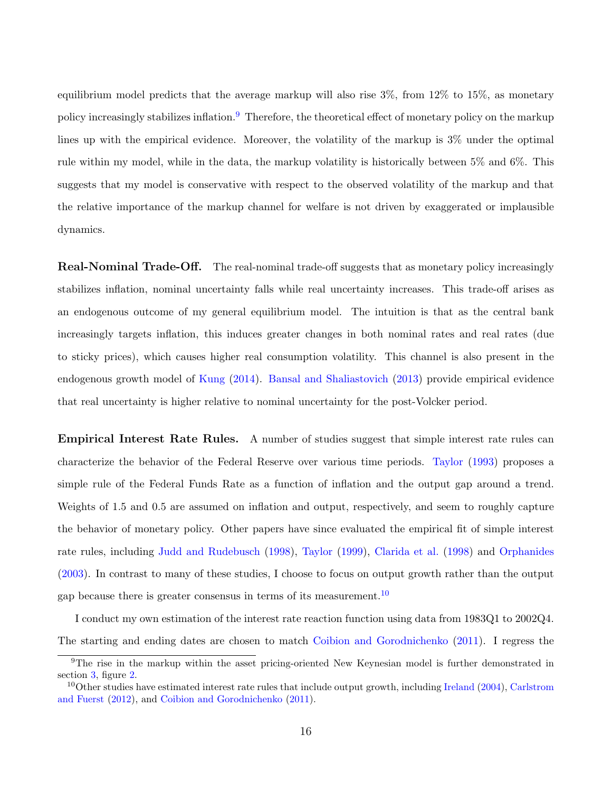equilibrium model predicts that the average markup will also rise  $3\%$ , from  $12\%$  to  $15\%$ , as monetary policy increasingly stabilizes inflation.[9](#page-16-0) Therefore, the theoretical effect of monetary policy on the markup lines up with the empirical evidence. Moreover, the volatility of the markup is 3% under the optimal rule within my model, while in the data, the markup volatility is historically between 5% and 6%. This suggests that my model is conservative with respect to the observed volatility of the markup and that the relative importance of the markup channel for welfare is not driven by exaggerated or implausible dynamics.

Real-Nominal Trade-Off. The real-nominal trade-off suggests that as monetary policy increasingly stabilizes inflation, nominal uncertainty falls while real uncertainty increases. This trade-off arises as an endogenous outcome of my general equilibrium model. The intuition is that as the central bank increasingly targets inflation, this induces greater changes in both nominal rates and real rates (due to sticky prices), which causes higher real consumption volatility. This channel is also present in the endogenous growth model of [Kung](#page-38-7) [\(2014\)](#page-38-7). [Bansal and Shaliastovich](#page-35-7) [\(2013\)](#page-35-7) provide empirical evidence that real uncertainty is higher relative to nominal uncertainty for the post-Volcker period.

Empirical Interest Rate Rules. A number of studies suggest that simple interest rate rules can characterize the behavior of the Federal Reserve over various time periods. [Taylor](#page-39-5) [\(1993\)](#page-39-5) proposes a simple rule of the Federal Funds Rate as a function of inflation and the output gap around a trend. Weights of 1.5 and 0.5 are assumed on inflation and output, respectively, and seem to roughly capture the behavior of monetary policy. Other papers have since evaluated the empirical fit of simple interest rate rules, including [Judd and Rudebusch](#page-37-8) [\(1998\)](#page-37-8), [Taylor](#page-39-6) [\(1999\)](#page-39-6), [Clarida et al.](#page-36-6) [\(1998\)](#page-36-6) and [Orphanides](#page-38-11) [\(2003\)](#page-38-11). In contrast to many of these studies, I choose to focus on output growth rather than the output gap because there is greater consensus in terms of its measurement.<sup>[10](#page-16-1)</sup>

I conduct my own estimation of the interest rate reaction function using data from 1983Q1 to 2002Q4. The starting and ending dates are chosen to match [Coibion and Gorodnichenko](#page-36-7) [\(2011\)](#page-36-7). I regress the

<span id="page-16-0"></span><sup>9</sup>The rise in the markup within the asset pricing-oriented New Keynesian model is further demonstrated in section [3,](#page-22-0) figure [2.](#page-26-0)

<span id="page-16-1"></span><sup>&</sup>lt;sup>10</sup>Other studies have estimated interest rate rules that include output growth, including [Ireland](#page-37-9)  $(2004)$ , [Carlstrom](#page-36-8) [and Fuerst](#page-36-8) [\(2012\)](#page-36-8), and [Coibion and Gorodnichenko](#page-36-7) [\(2011\)](#page-36-7).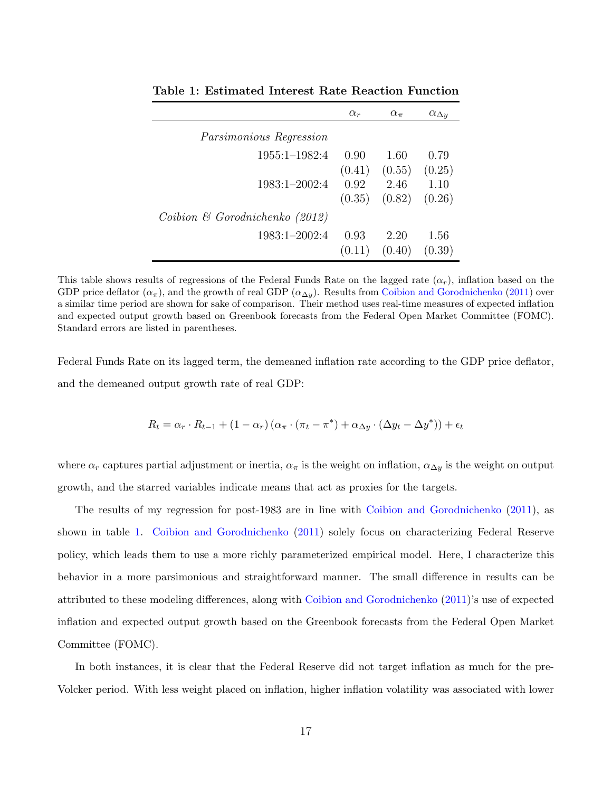|                                            | $\alpha_r$ | $\alpha_{\pi}$    | $\alpha_{\Delta y}$ |
|--------------------------------------------|------------|-------------------|---------------------|
| <i>Parsimonious Regression</i>             |            |                   |                     |
| $1955:1-1982:4$                            | 0.90       | 1.60              | 0.79                |
|                                            |            | $(0.41)$ $(0.55)$ | (0.25)              |
| 1983:1-2002:4                              | 0.92       | 2.46              | 1.10                |
|                                            |            | $(0.35)$ $(0.82)$ | (0.26)              |
| Coibion $\mathfrak G$ Gorodnichenko (2012) |            |                   |                     |
| 1983:1-2002:4                              | 0.93       | 2.20              | 1.56                |
|                                            | (0.11)     | (0.40)            | (0.39)              |

<span id="page-17-0"></span>Table 1: Estimated Interest Rate Reaction Function

This table shows results of regressions of the Federal Funds Rate on the lagged rate  $(\alpha_r)$ , inflation based on the GDP price deflator  $(\alpha_{\pi})$ , and the growth of real GDP  $(\alpha_{\Delta y})$ . Results from [Coibion and Gorodnichenko](#page-36-7) [\(2011\)](#page-36-7) over a similar time period are shown for sake of comparison. Their method uses real-time measures of expected inflation and expected output growth based on Greenbook forecasts from the Federal Open Market Committee (FOMC). Standard errors are listed in parentheses.

Federal Funds Rate on its lagged term, the demeaned inflation rate according to the GDP price deflator, and the demeaned output growth rate of real GDP:

$$
R_t = \alpha_r \cdot R_{t-1} + (1 - \alpha_r) (\alpha_\pi \cdot (\pi_t - \pi^*) + \alpha_{\Delta y} \cdot (\Delta y_t - \Delta y^*)) + \epsilon_t
$$

where  $\alpha_r$  captures partial adjustment or inertia,  $\alpha_\pi$  is the weight on inflation,  $\alpha_{\Delta y}$  is the weight on output growth, and the starred variables indicate means that act as proxies for the targets.

The results of my regression for post-1983 are in line with [Coibion and Gorodnichenko](#page-36-7) [\(2011\)](#page-36-7), as shown in table [1.](#page-17-0) [Coibion and Gorodnichenko](#page-36-7) [\(2011\)](#page-36-7) solely focus on characterizing Federal Reserve policy, which leads them to use a more richly parameterized empirical model. Here, I characterize this behavior in a more parsimonious and straightforward manner. The small difference in results can be attributed to these modeling differences, along with [Coibion and Gorodnichenko](#page-36-7) [\(2011\)](#page-36-7)'s use of expected inflation and expected output growth based on the Greenbook forecasts from the Federal Open Market Committee (FOMC).

In both instances, it is clear that the Federal Reserve did not target inflation as much for the pre-Volcker period. With less weight placed on inflation, higher inflation volatility was associated with lower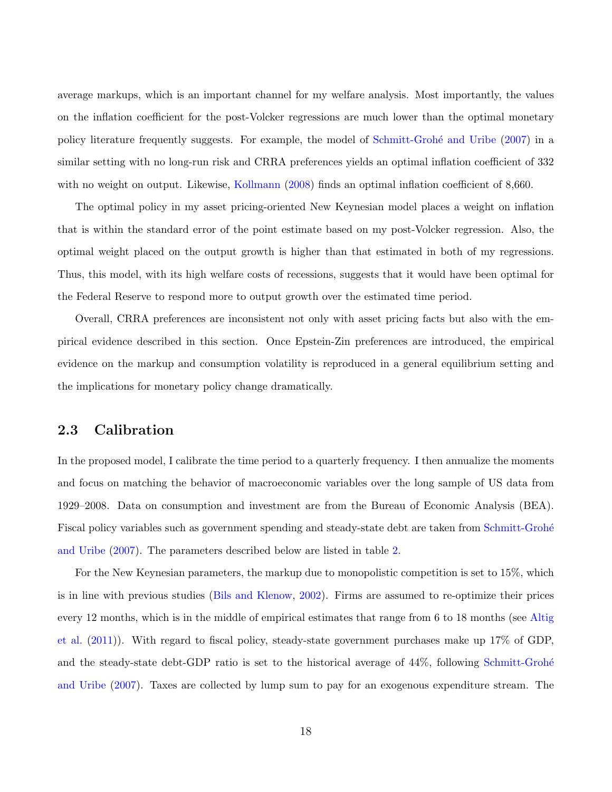average markups, which is an important channel for my welfare analysis. Most importantly, the values on the inflation coefficient for the post-Volcker regressions are much lower than the optimal monetary policy literature frequently suggests. For example, the model of Schmitt-Grohé and Uribe [\(2007\)](#page-38-2) in a similar setting with no long-run risk and CRRA preferences yields an optimal inflation coefficient of 332 with no weight on output. Likewise, [Kollmann](#page-37-3) [\(2008\)](#page-37-3) finds an optimal inflation coefficient of 8,660.

The optimal policy in my asset pricing-oriented New Keynesian model places a weight on inflation that is within the standard error of the point estimate based on my post-Volcker regression. Also, the optimal weight placed on the output growth is higher than that estimated in both of my regressions. Thus, this model, with its high welfare costs of recessions, suggests that it would have been optimal for the Federal Reserve to respond more to output growth over the estimated time period.

Overall, CRRA preferences are inconsistent not only with asset pricing facts but also with the empirical evidence described in this section. Once Epstein-Zin preferences are introduced, the empirical evidence on the markup and consumption volatility is reproduced in a general equilibrium setting and the implications for monetary policy change dramatically.

#### 2.3 Calibration

In the proposed model, I calibrate the time period to a quarterly frequency. I then annualize the moments and focus on matching the behavior of macroeconomic variables over the long sample of US data from 1929–2008. Data on consumption and investment are from the Bureau of Economic Analysis (BEA). Fiscal policy variables such as government spending and steady-state debt are taken from Schmitt-Grohé [and Uribe](#page-38-2) [\(2007\)](#page-38-2). The parameters described below are listed in table [2.](#page-19-0)

For the New Keynesian parameters, the markup due to monopolistic competition is set to 15%, which is in line with previous studies [\(Bils and Klenow,](#page-36-9) [2002\)](#page-36-9). Firms are assumed to re-optimize their prices every 12 months, which is in the middle of empirical estimates that range from 6 to 18 months (see [Altig](#page-35-8) [et al.](#page-35-8) [\(2011\)](#page-35-8)). With regard to fiscal policy, steady-state government purchases make up 17% of GDP, and the steady-state debt-GDP ratio is set to the historical average of 44%, following Schmitt-Grohé [and Uribe](#page-38-2) [\(2007\)](#page-38-2). Taxes are collected by lump sum to pay for an exogenous expenditure stream. The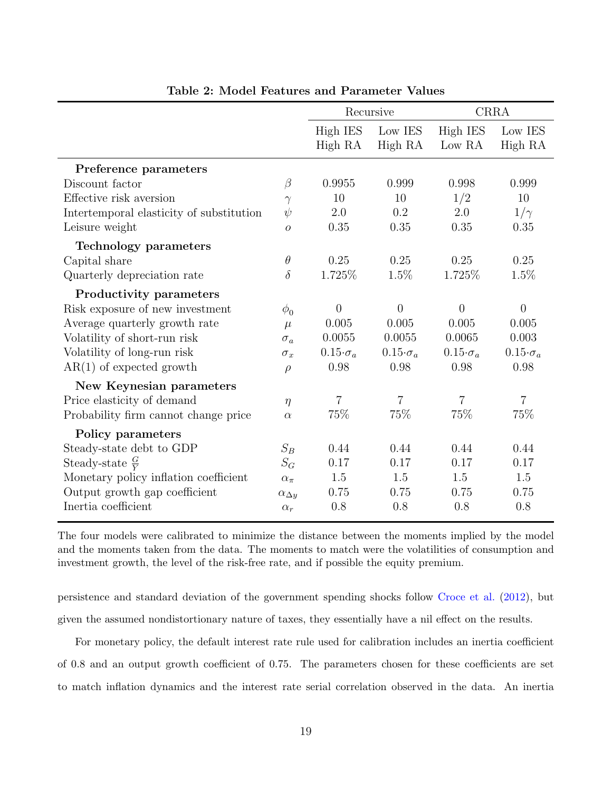|                                          |                     | Recursive             |                       | <b>CRRA</b>           |                       |
|------------------------------------------|---------------------|-----------------------|-----------------------|-----------------------|-----------------------|
|                                          |                     | High IES              | Low IES               | <b>High IES</b>       | Low IES               |
|                                          |                     | High RA               | High RA               | Low RA                | High RA               |
| Preference parameters                    |                     |                       |                       |                       |                       |
| Discount factor                          | $\beta$             | 0.9955                | 0.999                 | 0.998                 | 0.999                 |
| Effective risk aversion                  | $\gamma$            | 10                    | 10                    | 1/2                   | 10                    |
| Intertemporal elasticity of substitution | $\psi$              | 2.0                   | 0.2                   | 2.0                   | $1/\gamma$            |
| Leisure weight                           | $\overline{O}$      | 0.35                  | 0.35                  | 0.35                  | 0.35                  |
| <b>Technology parameters</b>             |                     |                       |                       |                       |                       |
| Capital share                            | $\theta$            | 0.25                  | 0.25                  | 0.25                  | 0.25                  |
| Quarterly depreciation rate              | $\delta$            | 1.725\%               | 1.5%                  | 1.725%                | 1.5%                  |
| <b>Productivity parameters</b>           |                     |                       |                       |                       |                       |
| Risk exposure of new investment          | $\phi_0$            | $\overline{0}$        | $\theta$              | $\Omega$              | $\overline{0}$        |
| Average quarterly growth rate            | $\mu$               | 0.005                 | 0.005                 | 0.005                 | 0.005                 |
| Volatility of short-run risk             | $\sigma_a$          | 0.0055                | 0.0055                | 0.0065                | 0.003                 |
| Volatility of long-run risk              | $\sigma_x$          | $0.15 \cdot \sigma_a$ | $0.15 \cdot \sigma_a$ | $0.15 \cdot \sigma_a$ | $0.15 \cdot \sigma_a$ |
| $AR(1)$ of expected growth               | $\rho$              | 0.98                  | 0.98                  | 0.98                  | 0.98                  |
| New Keynesian parameters                 |                     |                       |                       |                       |                       |
| Price elasticity of demand               | $\eta$              | $\overline{7}$        | $\overline{7}$        | $\overline{7}$        | $\overline{7}$        |
| Probability firm cannot change price     | $\alpha$            | 75%                   | 75%                   | 75%                   | 75%                   |
| Policy parameters                        |                     |                       |                       |                       |                       |
| Steady-state debt to GDP                 | $S_B$               | 0.44                  | 0.44                  | 0.44                  | 0.44                  |
| Steady-state $\frac{G}{V}$               | $S_G$               | 0.17                  | 0.17                  | 0.17                  | 0.17                  |
| Monetary policy inflation coefficient    | $\alpha_{\pi}$      | 1.5                   | 1.5                   | 1.5                   | 1.5                   |
| Output growth gap coefficient            | $\alpha_{\Delta y}$ | 0.75                  | 0.75                  | 0.75                  | 0.75                  |
| Inertia coefficient                      | $\alpha_r$          | 0.8                   | 0.8                   | 0.8                   | 0.8                   |

<span id="page-19-1"></span><span id="page-19-0"></span>Table 2: Model Features and Parameter Values

The four models were calibrated to minimize the distance between the moments implied by the model and the moments taken from the data. The moments to match were the volatilities of consumption and investment growth, the level of the risk-free rate, and if possible the equity premium.

persistence and standard deviation of the government spending shocks follow [Croce et al.](#page-36-10) [\(2012\)](#page-36-10), but given the assumed nondistortionary nature of taxes, they essentially have a nil effect on the results.

For monetary policy, the default interest rate rule used for calibration includes an inertia coefficient of 0.8 and an output growth coefficient of 0.75. The parameters chosen for these coefficients are set to match inflation dynamics and the interest rate serial correlation observed in the data. An inertia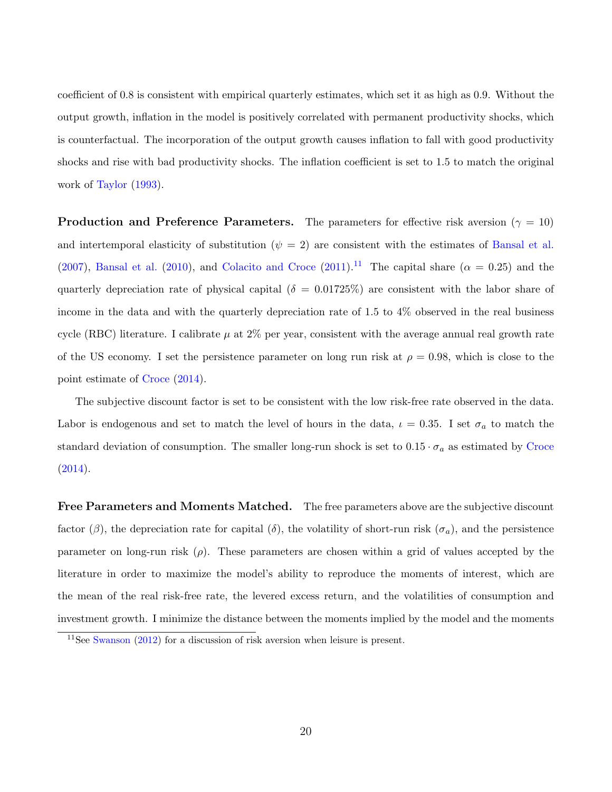coefficient of 0.8 is consistent with empirical quarterly estimates, which set it as high as 0.9. Without the output growth, inflation in the model is positively correlated with permanent productivity shocks, which is counterfactual. The incorporation of the output growth causes inflation to fall with good productivity shocks and rise with bad productivity shocks. The inflation coefficient is set to 1.5 to match the original work of [Taylor](#page-39-5) [\(1993\)](#page-39-5).

**Production and Preference Parameters.** The parameters for effective risk aversion ( $\gamma = 10$ ) and intertemporal elasticity of substitution  $(\psi = 2)$  are consistent with the estimates of [Bansal et al.](#page-35-9) [\(2007\)](#page-35-9), [Bansal et al.](#page-35-10) [\(2010\)](#page-35-10), and [Colacito and Croce](#page-36-11) [\(2011\)](#page-36-11).<sup>[11](#page-20-0)</sup> The capital share ( $\alpha = 0.25$ ) and the quarterly depreciation rate of physical capital ( $\delta = 0.01725\%$ ) are consistent with the labor share of income in the data and with the quarterly depreciation rate of 1.5 to 4% observed in the real business cycle (RBC) literature. I calibrate  $\mu$  at 2% per year, consistent with the average annual real growth rate of the US economy. I set the persistence parameter on long run risk at  $\rho = 0.98$ , which is close to the point estimate of [Croce](#page-36-3) [\(2014\)](#page-36-3).

The subjective discount factor is set to be consistent with the low risk-free rate observed in the data. Labor is endogenous and set to match the level of hours in the data,  $\iota = 0.35$ . I set  $\sigma_a$  to match the standard deviation of consumption. The smaller long-run shock is set to  $0.15 \cdot \sigma_a$  as estimated by [Croce](#page-36-3)  $(2014).$  $(2014).$ 

Free Parameters and Moments Matched. The free parameters above are the subjective discount factor ( $\beta$ ), the depreciation rate for capital ( $\delta$ ), the volatility of short-run risk ( $\sigma_a$ ), and the persistence parameter on long-run risk  $(\rho)$ . These parameters are chosen within a grid of values accepted by the literature in order to maximize the model's ability to reproduce the moments of interest, which are the mean of the real risk-free rate, the levered excess return, and the volatilities of consumption and investment growth. I minimize the distance between the moments implied by the model and the moments

<span id="page-20-0"></span> $11$ See [Swanson](#page-39-7) [\(2012\)](#page-39-7) for a discussion of risk aversion when leisure is present.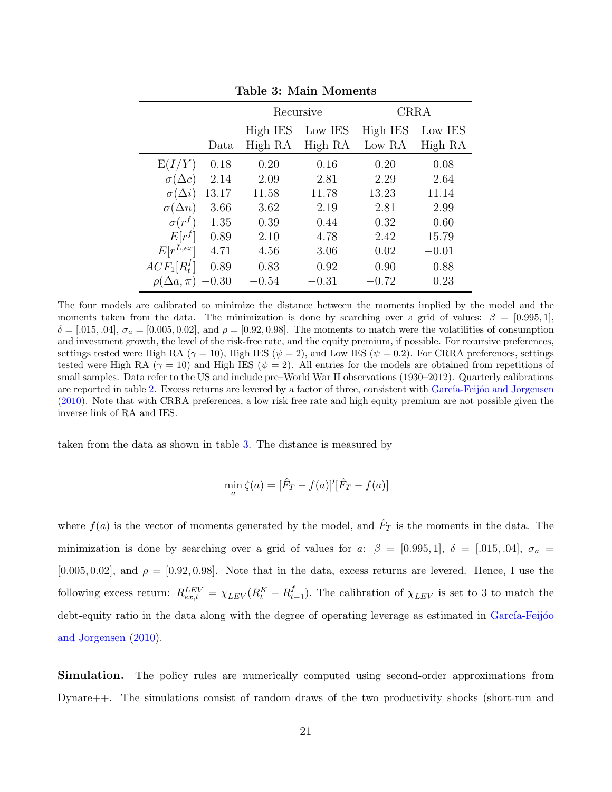|                    |         | Recursive |         | <b>CRRA</b> |         |
|--------------------|---------|-----------|---------|-------------|---------|
|                    |         | High IES  | Low IES | High IES    | Low IES |
|                    | Data    | High RA   | High RA | Low RA      | High RA |
| E(I/Y)             | 0.18    | 0.20      | 0.16    | 0.20        | 0.08    |
| $\sigma(\Delta c)$ | 2.14    | 2.09      | 2.81    | 2.29        | 2.64    |
| $\sigma(\Delta i)$ | 13.17   | 11.58     | 11.78   | 13.23       | 11.14   |
| $\sigma(\Delta n)$ | 3.66    | 3.62      | 2.19    | 2.81        | 2.99    |
| $\sigma(r^f)$      | 1.35    | 0.39      | 0.44    | 0.32        | 0.60    |
| $E[r^f]$           | 0.89    | 2.10      | 4.78    | 2.42        | 15.79   |
| $E[r^{L,ex}]$      | 4.71    | 4.56      | 3.06    | 0.02        | $-0.01$ |
| $ACF_1[R_t^f]$     | 0.89    | 0.83      | 0.92    | 0.90        | 0.88    |
| $(\Delta a, \pi)$  | $-0.30$ | $-0.54$   | $-0.31$ | $-0.72$     | 0.23    |

<span id="page-21-0"></span>Table 3: Main Moments

The four models are calibrated to minimize the distance between the moments implied by the model and the moments taken from the data. The minimization is done by searching over a grid of values:  $\beta = [0.995, 1]$ ,  $\delta = [.015, .04], \sigma_a = [0.005, 0.02],$  and  $\rho = [0.92, 0.98].$  The moments to match were the volatilities of consumption and investment growth, the level of the risk-free rate, and the equity premium, if possible. For recursive preferences, settings tested were High RA ( $\gamma = 10$ ), High IES ( $\psi = 2$ ), and Low IES ( $\psi = 0.2$ ). For CRRA preferences, settings tested were High RA ( $\gamma = 10$ ) and High IES ( $\psi = 2$ ). All entries for the models are obtained from repetitions of small samples. Data refer to the US and include pre–World War II observations (1930–2012). Quarterly calibrations are reported in table [2.](#page-19-0) Excess returns are levered by a factor of three, consistent with García-Feijóo and Jorgensen [\(2010\)](#page-37-10). Note that with CRRA preferences, a low risk free rate and high equity premium are not possible given the inverse link of RA and IES.

taken from the data as shown in table [3.](#page-21-0) The distance is measured by

$$
\min_{a} \zeta(a) = [\hat{F}_T - f(a)]'[\hat{F}_T - f(a)]
$$

where  $f(a)$  is the vector of moments generated by the model, and  $\hat{F}_T$  is the moments in the data. The minimization is done by searching over a grid of values for a:  $\beta = [0.995, 1], \delta = [0.015, 0.04], \sigma_a =$  $[0.005, 0.02]$ , and  $\rho = [0.92, 0.98]$ . Note that in the data, excess returns are levered. Hence, I use the following excess return:  $R_{ex,t}^{LEV} = \chi_{LEV} (R_t^K - R_t^f)$  $_{t-1}^{J}$ ). The calibration of  $\chi_{LEV}$  is set to 3 to match the debt-equity ratio in the data along with the degree of operating leverage as estimated in García-Feijóo [and Jorgensen](#page-37-10) [\(2010\)](#page-37-10).

Simulation. The policy rules are numerically computed using second-order approximations from Dynare++. The simulations consist of random draws of the two productivity shocks (short-run and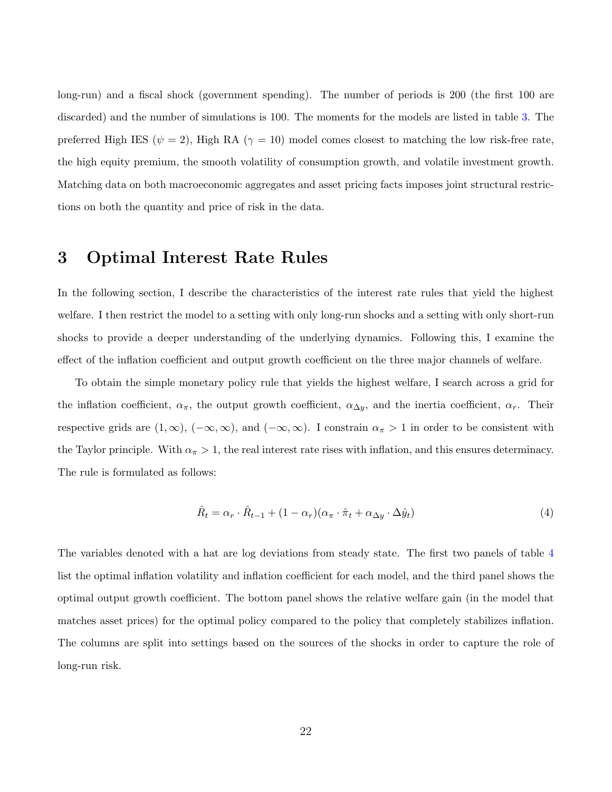long-run) and a fiscal shock (government spending). The number of periods is 200 (the first 100 are discarded) and the number of simulations is 100. The moments for the models are listed in table [3.](#page-21-0) The preferred High IES ( $\psi = 2$ ), High RA ( $\gamma = 10$ ) model comes closest to matching the low risk-free rate, the high equity premium, the smooth volatility of consumption growth, and volatile investment growth. Matching data on both macroeconomic aggregates and asset pricing facts imposes joint structural restrictions on both the quantity and price of risk in the data.

## <span id="page-22-2"></span><span id="page-22-0"></span>3 Optimal Interest Rate Rules

In the following section, I describe the characteristics of the interest rate rules that yield the highest welfare. I then restrict the model to a setting with only long-run shocks and a setting with only short-run shocks to provide a deeper understanding of the underlying dynamics. Following this, I examine the effect of the inflation coefficient and output growth coefficient on the three major channels of welfare.

To obtain the simple monetary policy rule that yields the highest welfare, I search across a grid for the inflation coefficient,  $\alpha_{\pi}$ , the output growth coefficient,  $\alpha_{\Delta y}$ , and the inertia coefficient,  $\alpha_r$ . Their respective grids are  $(1, \infty)$ ,  $(-\infty, \infty)$ , and  $(-\infty, \infty)$ . I constrain  $\alpha_{\pi} > 1$  in order to be consistent with the Taylor principle. With  $\alpha_{\pi} > 1$ , the real interest rate rises with inflation, and this ensures determinacy. The rule is formulated as follows:

<span id="page-22-1"></span>
$$
\hat{R}_t = \alpha_r \cdot \hat{R}_{t-1} + (1 - \alpha_r)(\alpha_\pi \cdot \hat{\pi}_t + \alpha_{\Delta y} \cdot \Delta \hat{y}_t)
$$
\n(4)

The variables denoted with a hat are log deviations from steady state. The first two panels of table [4](#page-23-0) list the optimal inflation volatility and inflation coefficient for each model, and the third panel shows the optimal output growth coefficient. The bottom panel shows the relative welfare gain (in the model that matches asset prices) for the optimal policy compared to the policy that completely stabilizes inflation. The columns are split into settings based on the sources of the shocks in order to capture the role of long-run risk.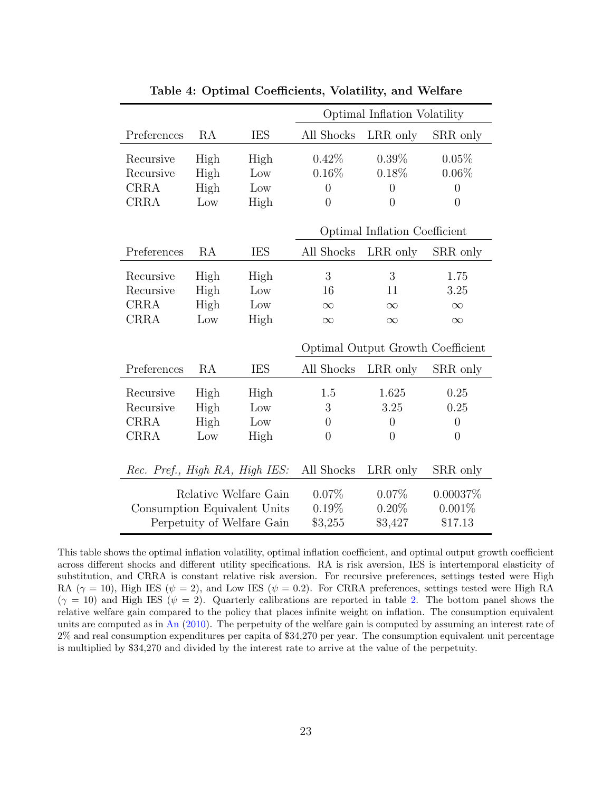|                                |      |            | Optimal Inflation Volatility      |                |                |
|--------------------------------|------|------------|-----------------------------------|----------------|----------------|
| Preferences                    | RA   | <b>IES</b> | All Shocks                        | LRR only       | SRR only       |
| Recursive                      | High | High       | 0.42%                             | $0.39\%$       | 0.05%          |
| Recursive                      | High | Low        | 0.16%                             | 0.18%          | 0.06%          |
| <b>CRRA</b>                    | High | Low        | $\overline{0}$                    | $\overline{0}$ | $\overline{0}$ |
| <b>CRRA</b>                    | Low  | High       | $\overline{0}$                    | $\overline{0}$ | $\overline{0}$ |
|                                |      |            | Optimal Inflation Coefficient     |                |                |
| Preferences                    | RA   | <b>IES</b> | All Shocks                        | LRR only       | SRR only       |
| Recursive                      | High | High       | 3                                 | 3              | 1.75           |
| Recursive                      | High | Low        | 16                                | 11             | 3.25           |
| <b>CRRA</b>                    | High | Low        | $\infty$                          | $\infty$       | $\infty$       |
| <b>CRRA</b>                    | Low  | High       | $\infty$                          | $\infty$       | $\infty$       |
|                                |      |            | Optimal Output Growth Coefficient |                |                |
| Preferences                    | RA   | <b>IES</b> | All Shocks                        | LRR only       | SRR only       |
| Recursive                      | High | High       | 1.5                               | 1.625          | 0.25           |
| Recursive                      | High | Low        | 3                                 | 3.25           | 0.25           |
| <b>CRRA</b>                    | High | Low        | $\overline{0}$                    | $\overline{0}$ | $\overline{0}$ |
| <b>CRRA</b>                    | Low  | High       | $\overline{0}$                    | $\theta$       | $\theta$       |
|                                |      |            |                                   |                |                |
| Rec. Pref., High RA, High IES: |      |            | All Shocks                        | LRR only       | SRR only       |
| Relative Welfare Gain          |      | 0.07%      | $0.07\%$                          | 0.00037%       |                |
| Consumption Equivalent Units   |      | 0.19%      | $0.20\%$                          | 0.001%         |                |
| Perpetuity of Welfare Gain     |      | $\$3,255$  | \$3,427                           | \$17.13        |                |

<span id="page-23-0"></span>Table 4: Optimal Coefficients, Volatility, and Welfare

This table shows the optimal inflation volatility, optimal inflation coefficient, and optimal output growth coefficient across different shocks and different utility specifications. RA is risk aversion, IES is intertemporal elasticity of substitution, and CRRA is constant relative risk aversion. For recursive preferences, settings tested were High RA ( $\gamma = 10$ ), High IES ( $\psi = 2$ ), and Low IES ( $\psi = 0.2$ ). For CRRA preferences, settings tested were High RA  $(\gamma = 10)$  and High IES ( $\psi = 2$ ). Quarterly calibrations are reported in table [2.](#page-19-0) The bottom panel shows the relative welfare gain compared to the policy that places infinite weight on inflation. The consumption equivalent units are computed as in [An](#page-35-3) [\(2010\)](#page-35-3). The perpetuity of the welfare gain is computed by assuming an interest rate of 2% and real consumption expenditures per capita of \$34,270 per year. The consumption equivalent unit percentage is multiplied by \$34,270 and divided by the interest rate to arrive at the value of the perpetuity.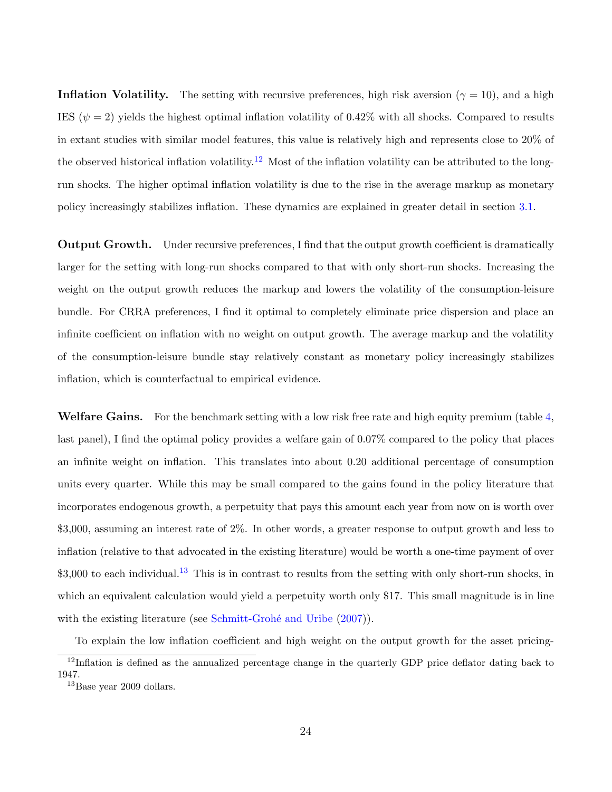**Inflation Volatility.** The setting with recursive preferences, high risk aversion ( $\gamma = 10$ ), and a high IES ( $\psi = 2$ ) yields the highest optimal inflation volatility of 0.42% with all shocks. Compared to results in extant studies with similar model features, this value is relatively high and represents close to 20% of the observed historical inflation volatility.<sup>[12](#page-24-0)</sup> Most of the inflation volatility can be attributed to the longrun shocks. The higher optimal inflation volatility is due to the rise in the average markup as monetary policy increasingly stabilizes inflation. These dynamics are explained in greater detail in section [3.1.](#page-25-0)

**Output Growth.** Under recursive preferences, I find that the output growth coefficient is dramatically larger for the setting with long-run shocks compared to that with only short-run shocks. Increasing the weight on the output growth reduces the markup and lowers the volatility of the consumption-leisure bundle. For CRRA preferences, I find it optimal to completely eliminate price dispersion and place an infinite coefficient on inflation with no weight on output growth. The average markup and the volatility of the consumption-leisure bundle stay relatively constant as monetary policy increasingly stabilizes inflation, which is counterfactual to empirical evidence.

Welfare Gains. For the benchmark setting with a low risk free rate and high equity premium (table [4,](#page-23-0) last panel), I find the optimal policy provides a welfare gain of 0.07% compared to the policy that places an infinite weight on inflation. This translates into about 0.20 additional percentage of consumption units every quarter. While this may be small compared to the gains found in the policy literature that incorporates endogenous growth, a perpetuity that pays this amount each year from now on is worth over \$3,000, assuming an interest rate of 2%. In other words, a greater response to output growth and less to inflation (relative to that advocated in the existing literature) would be worth a one-time payment of over  $$3,000$  to each individual.<sup>[13](#page-24-1)</sup> This is in contrast to results from the setting with only short-run shocks, in which an equivalent calculation would yield a perpetuity worth only \$17. This small magnitude is in line with the existing literature (see Schmitt-Grohé and Uribe  $(2007)$ ).

<span id="page-24-0"></span>To explain the low inflation coefficient and high weight on the output growth for the asset pricing-<sup>12</sup>Inflation is defined as the annualized percentage change in the quarterly GDP price deflator dating back to 1947.

<span id="page-24-1"></span><sup>&</sup>lt;sup>13</sup>Base year 2009 dollars.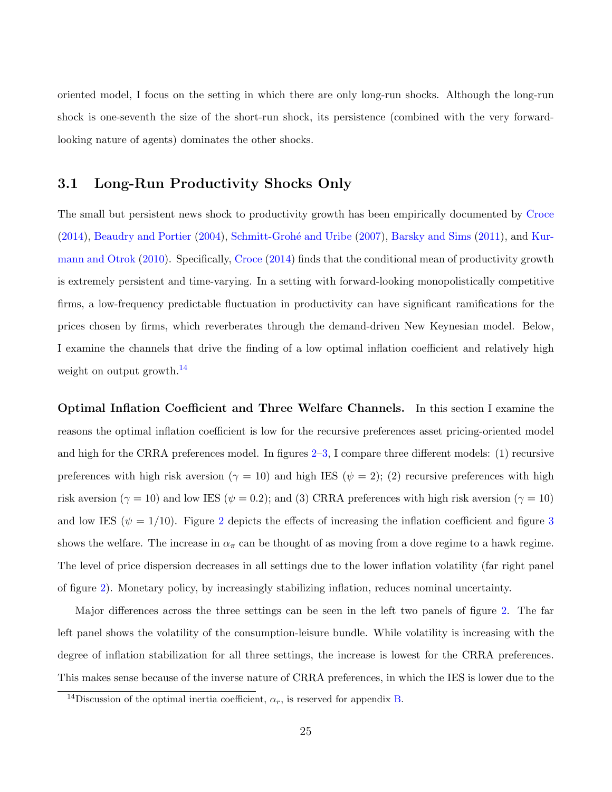oriented model, I focus on the setting in which there are only long-run shocks. Although the long-run shock is one-seventh the size of the short-run shock, its persistence (combined with the very forwardlooking nature of agents) dominates the other shocks.

### <span id="page-25-0"></span>3.1 Long-Run Productivity Shocks Only

The small but persistent news shock to productivity growth has been empirically documented by [Croce](#page-36-3) [\(2014\)](#page-36-3), [Beaudry and Portier](#page-35-1) [\(2004\)](#page-35-1), Schmitt-Grohé and Uribe [\(2007\)](#page-38-2), [Barsky and Sims](#page-35-2) [\(2011\)](#page-35-2), and [Kur](#page-38-5)[mann and Otrok](#page-38-5) [\(2010\)](#page-38-5). Specifically, [Croce](#page-36-3) [\(2014\)](#page-36-3) finds that the conditional mean of productivity growth is extremely persistent and time-varying. In a setting with forward-looking monopolistically competitive firms, a low-frequency predictable fluctuation in productivity can have significant ramifications for the prices chosen by firms, which reverberates through the demand-driven New Keynesian model. Below, I examine the channels that drive the finding of a low optimal inflation coefficient and relatively high weight on output growth.<sup>[14](#page-25-1)</sup>

Optimal Inflation Coefficient and Three Welfare Channels. In this section I examine the reasons the optimal inflation coefficient is low for the recursive preferences asset pricing-oriented model and high for the CRRA preferences model. In figures [2](#page-26-0)[–3,](#page-27-0) I compare three different models: (1) recursive preferences with high risk aversion ( $\gamma = 10$ ) and high IES ( $\psi = 2$ ); (2) recursive preferences with high risk aversion ( $\gamma = 10$ ) and low IES ( $\psi = 0.2$ ); and (3) CRRA preferences with high risk aversion ( $\gamma = 10$ ) and low IES ( $\psi = 1/10$ ). Figure [2](#page-26-0) depicts the effects of increasing the inflation coefficient and figure [3](#page-27-0) shows the welfare. The increase in  $\alpha_{\pi}$  can be thought of as moving from a dove regime to a hawk regime. The level of price dispersion decreases in all settings due to the lower inflation volatility (far right panel of figure [2\)](#page-26-0). Monetary policy, by increasingly stabilizing inflation, reduces nominal uncertainty.

Major differences across the three settings can be seen in the left two panels of figure [2.](#page-26-0) The far left panel shows the volatility of the consumption-leisure bundle. While volatility is increasing with the degree of inflation stabilization for all three settings, the increase is lowest for the CRRA preferences. This makes sense because of the inverse nature of CRRA preferences, in which the IES is lower due to the

<span id="page-25-1"></span><sup>&</sup>lt;sup>14</sup>Discussion of the optimal inertia coefficient,  $\alpha_r$ , is reserved for appendix [B.](#page-46-0)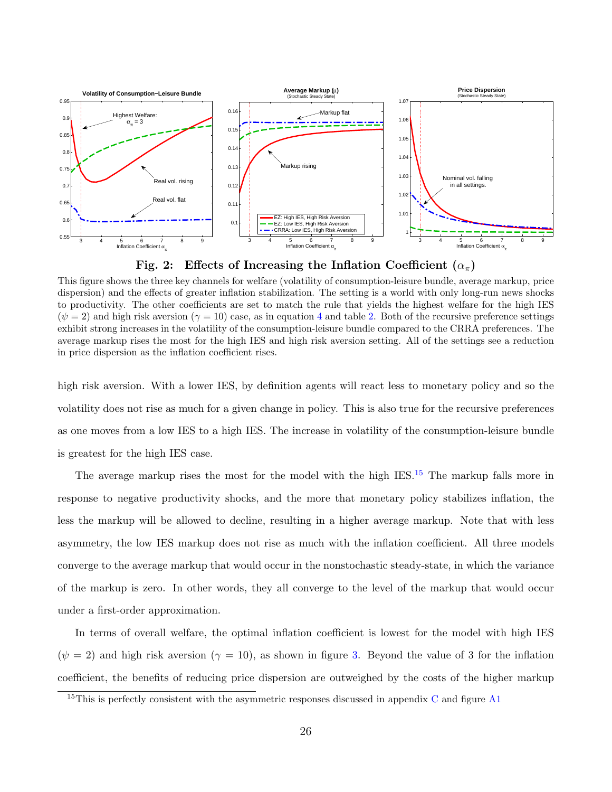

<span id="page-26-0"></span>Fig. 2: Effects of Increasing the Inflation Coefficient  $(\alpha_{\pi})$ 

This figure shows the three key channels for welfare (volatility of consumption-leisure bundle, average markup, price dispersion) and the effects of greater inflation stabilization. The setting is a world with only long-run news shocks to productivity. The other coefficients are set to match the rule that yields the highest welfare for the high IES  $(\psi = 2)$  and high risk aversion  $(\gamma = 10)$  case, as in equation [4](#page-22-1) and table [2.](#page-19-0) Both of the recursive preference settings exhibit strong increases in the volatility of the consumption-leisure bundle compared to the CRRA preferences. The average markup rises the most for the high IES and high risk aversion setting. All of the settings see a reduction in price dispersion as the inflation coefficient rises.

high risk aversion. With a lower IES, by definition agents will react less to monetary policy and so the volatility does not rise as much for a given change in policy. This is also true for the recursive preferences as one moves from a low IES to a high IES. The increase in volatility of the consumption-leisure bundle is greatest for the high IES case.

The average markup rises the most for the model with the high IES.<sup>[15](#page-26-1)</sup> The markup falls more in response to negative productivity shocks, and the more that monetary policy stabilizes inflation, the less the markup will be allowed to decline, resulting in a higher average markup. Note that with less asymmetry, the low IES markup does not rise as much with the inflation coefficient. All three models converge to the average markup that would occur in the nonstochastic steady-state, in which the variance of the markup is zero. In other words, they all converge to the level of the markup that would occur under a first-order approximation.

In terms of overall welfare, the optimal inflation coefficient is lowest for the model with high IES  $(\psi = 2)$  and high risk aversion  $(\gamma = 10)$ , as shown in figure [3.](#page-27-0) Beyond the value of 3 for the inflation coefficient, the benefits of reducing price dispersion are outweighed by the costs of the higher markup

<span id="page-26-1"></span><sup>&</sup>lt;sup>15</sup>This is perfectly consistent with the asymmetric responses discussed in appendix [C](#page-47-0) and figure [A1](#page-15-0)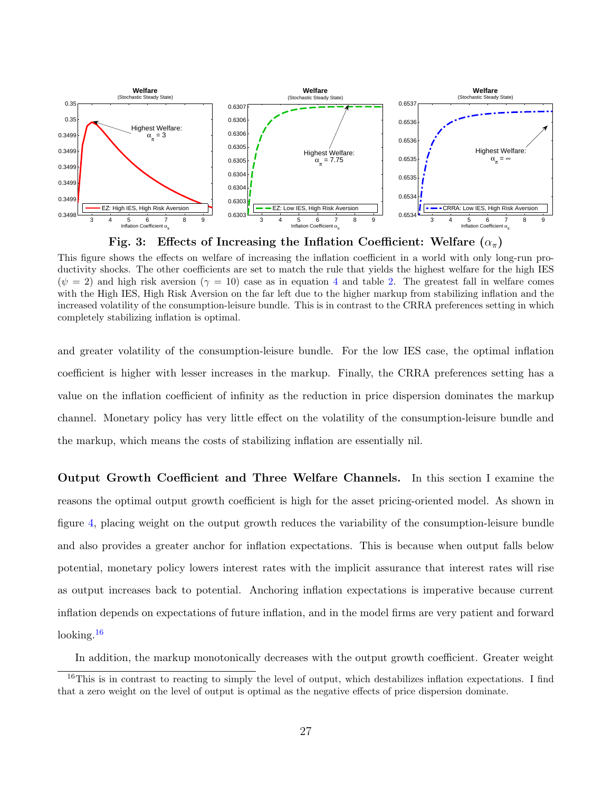

<span id="page-27-0"></span>

This figure shows the effects on welfare of increasing the inflation coefficient in a world with only long-run productivity shocks. The other coefficients are set to match the rule that yields the highest welfare for the high IES  $(\psi = 2)$  and high risk aversion  $(\gamma = 10)$  case as in equation [4](#page-22-1) and table [2.](#page-19-0) The greatest fall in welfare comes with the High IES, High Risk Aversion on the far left due to the higher markup from stabilizing inflation and the increased volatility of the consumption-leisure bundle. This is in contrast to the CRRA preferences setting in which completely stabilizing inflation is optimal.

and greater volatility of the consumption-leisure bundle. For the low IES case, the optimal inflation coefficient is higher with lesser increases in the markup. Finally, the CRRA preferences setting has a value on the inflation coefficient of infinity as the reduction in price dispersion dominates the markup channel. Monetary policy has very little effect on the volatility of the consumption-leisure bundle and the markup, which means the costs of stabilizing inflation are essentially nil.

Output Growth Coefficient and Three Welfare Channels. In this section I examine the reasons the optimal output growth coefficient is high for the asset pricing-oriented model. As shown in figure [4,](#page-28-0) placing weight on the output growth reduces the variability of the consumption-leisure bundle and also provides a greater anchor for inflation expectations. This is because when output falls below potential, monetary policy lowers interest rates with the implicit assurance that interest rates will rise as output increases back to potential. Anchoring inflation expectations is imperative because current inflation depends on expectations of future inflation, and in the model firms are very patient and forward looking. $16$ 

<span id="page-27-1"></span>In addition, the markup monotonically decreases with the output growth coefficient. Greater weight

 $16$ This is in contrast to reacting to simply the level of output, which destabilizes inflation expectations. I find that a zero weight on the level of output is optimal as the negative effects of price dispersion dominate.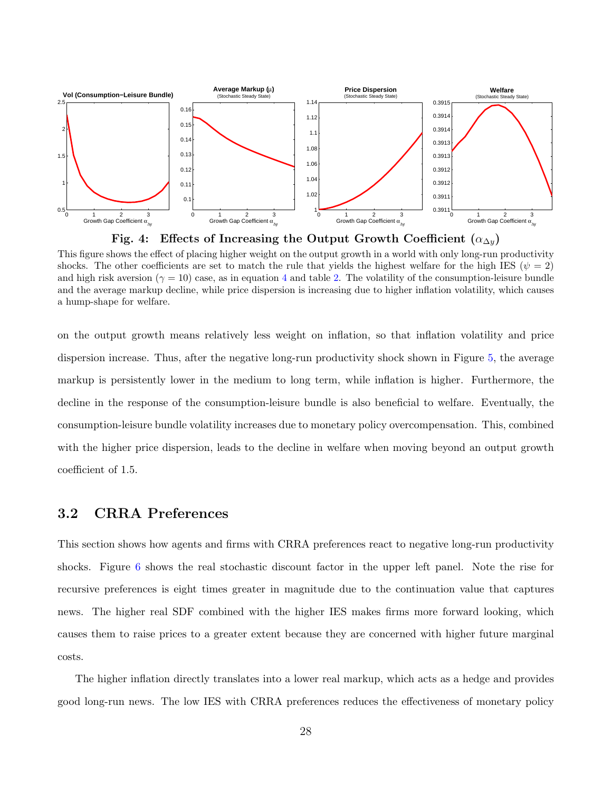

<span id="page-28-0"></span>

This figure shows the effect of placing higher weight on the output growth in a world with only long-run productivity shocks. The other coefficients are set to match the rule that yields the highest welfare for the high IES ( $\psi = 2$ ) and high risk aversion ( $\gamma = 10$ ) case, as in equation [4](#page-22-1) and table [2.](#page-19-0) The volatility of the consumption-leisure bundle and the average markup decline, while price dispersion is increasing due to higher inflation volatility, which causes a hump-shape for welfare.

on the output growth means relatively less weight on inflation, so that inflation volatility and price dispersion increase. Thus, after the negative long-run productivity shock shown in Figure [5,](#page-29-0) the average markup is persistently lower in the medium to long term, while inflation is higher. Furthermore, the decline in the response of the consumption-leisure bundle is also beneficial to welfare. Eventually, the consumption-leisure bundle volatility increases due to monetary policy overcompensation. This, combined with the higher price dispersion, leads to the decline in welfare when moving beyond an output growth coefficient of 1.5.

## 3.2 CRRA Preferences

This section shows how agents and firms with CRRA preferences react to negative long-run productivity shocks. Figure [6](#page-30-1) shows the real stochastic discount factor in the upper left panel. Note the rise for recursive preferences is eight times greater in magnitude due to the continuation value that captures news. The higher real SDF combined with the higher IES makes firms more forward looking, which causes them to raise prices to a greater extent because they are concerned with higher future marginal costs.

The higher inflation directly translates into a lower real markup, which acts as a hedge and provides good long-run news. The low IES with CRRA preferences reduces the effectiveness of monetary policy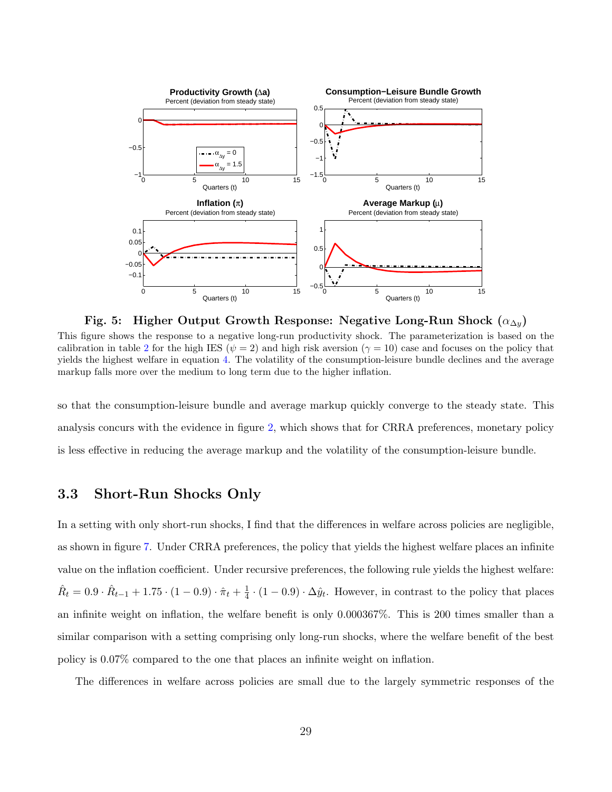

<span id="page-29-0"></span>Fig. 5: Higher Output Growth Response: Negative Long-Run Shock  $(\alpha_{\Delta y})$ 

This figure shows the response to a negative long-run productivity shock. The parameterization is based on the calibration in table [2](#page-19-0) for the high IES ( $\psi = 2$ ) and high risk aversion ( $\gamma = 10$ ) case and focuses on the policy that yields the highest welfare in equation [4.](#page-22-1) The volatility of the consumption-leisure bundle declines and the average markup falls more over the medium to long term due to the higher inflation.

so that the consumption-leisure bundle and average markup quickly converge to the steady state. This analysis concurs with the evidence in figure [2,](#page-26-0) which shows that for CRRA preferences, monetary policy is less effective in reducing the average markup and the volatility of the consumption-leisure bundle.

## 3.3 Short-Run Shocks Only

In a setting with only short-run shocks, I find that the differences in welfare across policies are negligible, as shown in figure [7.](#page-31-0) Under CRRA preferences, the policy that yields the highest welfare places an infinite value on the inflation coefficient. Under recursive preferences, the following rule yields the highest welfare:  $\hat{R}_t = 0.9 \cdot \hat{R}_{t-1} + 1.75 \cdot (1 - 0.9) \cdot \hat{\pi}_t + \frac{1}{4}$  $\frac{1}{4} \cdot (1 - 0.9) \cdot \Delta \hat{y}_t$ . However, in contrast to the policy that places an infinite weight on inflation, the welfare benefit is only 0.000367%. This is 200 times smaller than a similar comparison with a setting comprising only long-run shocks, where the welfare benefit of the best policy is 0.07% compared to the one that places an infinite weight on inflation.

The differences in welfare across policies are small due to the largely symmetric responses of the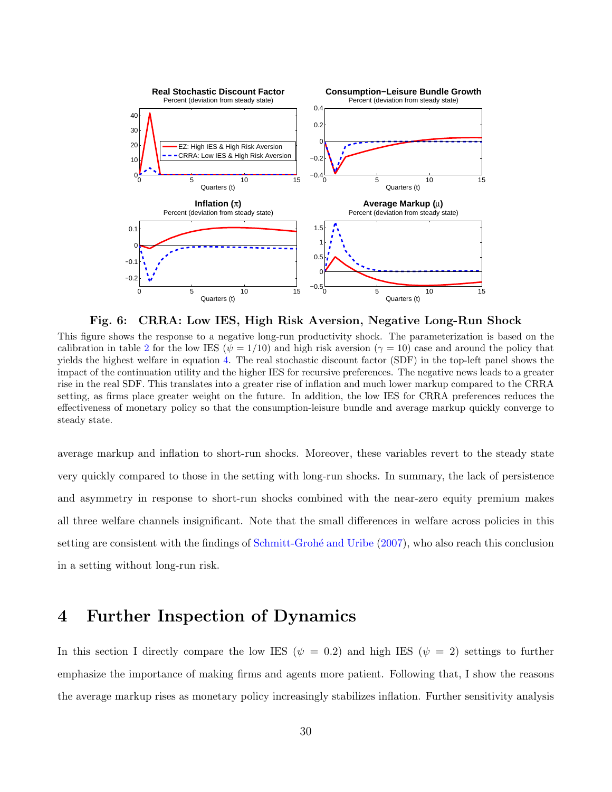

<span id="page-30-1"></span>Fig. 6: CRRA: Low IES, High Risk Aversion, Negative Long-Run Shock

This figure shows the response to a negative long-run productivity shock. The parameterization is based on the calibration in table [2](#page-19-0) for the low IES ( $\psi = 1/10$ ) and high risk aversion ( $\gamma = 10$ ) case and around the policy that yields the highest welfare in equation [4.](#page-22-1) The real stochastic discount factor (SDF) in the top-left panel shows the impact of the continuation utility and the higher IES for recursive preferences. The negative news leads to a greater rise in the real SDF. This translates into a greater rise of inflation and much lower markup compared to the CRRA setting, as firms place greater weight on the future. In addition, the low IES for CRRA preferences reduces the effectiveness of monetary policy so that the consumption-leisure bundle and average markup quickly converge to steady state.

average markup and inflation to short-run shocks. Moreover, these variables revert to the steady state very quickly compared to those in the setting with long-run shocks. In summary, the lack of persistence and asymmetry in response to short-run shocks combined with the near-zero equity premium makes all three welfare channels insignificant. Note that the small differences in welfare across policies in this setting are consistent with the findings of Schmitt-Grohé and Uribe [\(2007\)](#page-38-2), who also reach this conclusion in a setting without long-run risk.

## <span id="page-30-0"></span>4 Further Inspection of Dynamics

In this section I directly compare the low IES ( $\psi = 0.2$ ) and high IES ( $\psi = 2$ ) settings to further emphasize the importance of making firms and agents more patient. Following that, I show the reasons the average markup rises as monetary policy increasingly stabilizes inflation. Further sensitivity analysis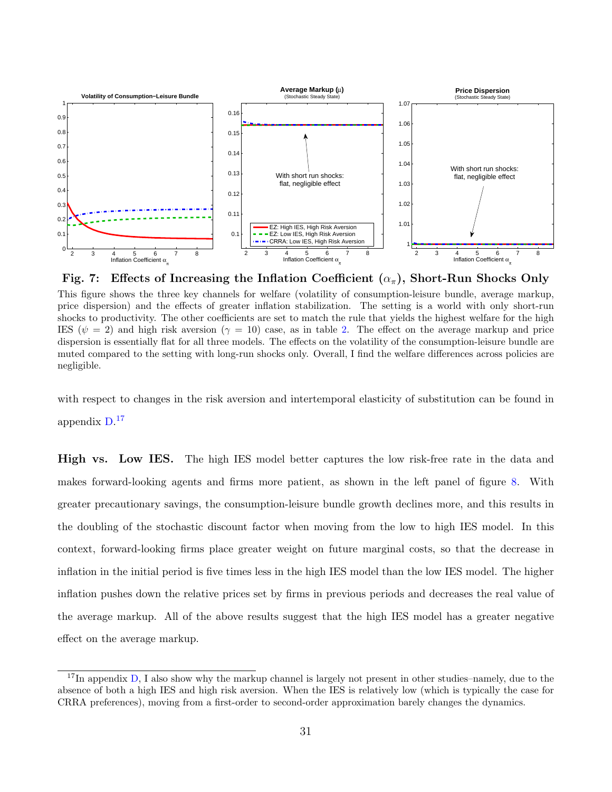

<span id="page-31-0"></span>Fig. 7: Effects of Increasing the Inflation Coefficient  $(\alpha_{\pi})$ , Short-Run Shocks Only This figure shows the three key channels for welfare (volatility of consumption-leisure bundle, average markup, price dispersion) and the effects of greater inflation stabilization. The setting is a world with only short-run shocks to productivity. The other coefficients are set to match the rule that yields the highest welfare for the high IES ( $\psi = 2$ ) and high risk aversion ( $\gamma = 10$ ) case, as in table [2.](#page-19-0) The effect on the average markup and price dispersion is essentially flat for all three models. The effects on the volatility of the consumption-leisure bundle are muted compared to the setting with long-run shocks only. Overall, I find the welfare differences across policies are negligible.

with respect to changes in the risk aversion and intertemporal elasticity of substitution can be found in appendix [D.](#page-48-0) [17](#page-31-1)

High vs. Low IES. The high IES model better captures the low risk-free rate in the data and makes forward-looking agents and firms more patient, as shown in the left panel of figure [8.](#page-32-0) With greater precautionary savings, the consumption-leisure bundle growth declines more, and this results in the doubling of the stochastic discount factor when moving from the low to high IES model. In this context, forward-looking firms place greater weight on future marginal costs, so that the decrease in inflation in the initial period is five times less in the high IES model than the low IES model. The higher inflation pushes down the relative prices set by firms in previous periods and decreases the real value of the average markup. All of the above results suggest that the high IES model has a greater negative effect on the average markup.

<span id="page-31-1"></span><sup>&</sup>lt;sup>17</sup>In appendix [D,](#page-48-0) I also show why the markup channel is largely not present in other studies–namely, due to the absence of both a high IES and high risk aversion. When the IES is relatively low (which is typically the case for CRRA preferences), moving from a first-order to second-order approximation barely changes the dynamics.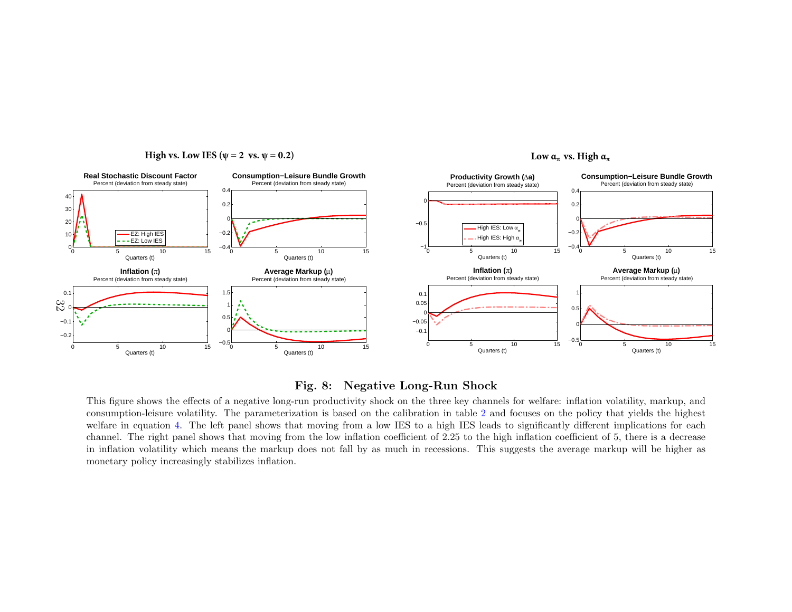

#### <span id="page-32-0"></span>**High vs. Low IES** ( $\psi = 2$  vs.  $\psi = 0.2$ )

#### Fig. 8: Negative Long-Run Shock

 This figure shows the effects of <sup>a</sup> negative long-run productivity shock on the three key channels for welfare: inflation volatility, markup, and consumption-leisure volatility. The parameterization is based on the calibration in table [2](#page-19-1) and focuses on the policy that <sup>y</sup>ields the highest welfare in equation [4.](#page-22-2) The left pane<sup>l</sup> shows that moving from <sup>a</sup> low IES to <sup>a</sup> high IES leads to significantly different implications for each channel. The right panel shows that moving from the low inflation coefficient of 2.25 to the high inflation coefficient of 5, there is <sup>a</sup> decrease in inflation volatility which means the markup does not fall by as much in recessions. This suggests the average markup will be higher asmonetary policy increasingly stabilizes inflation.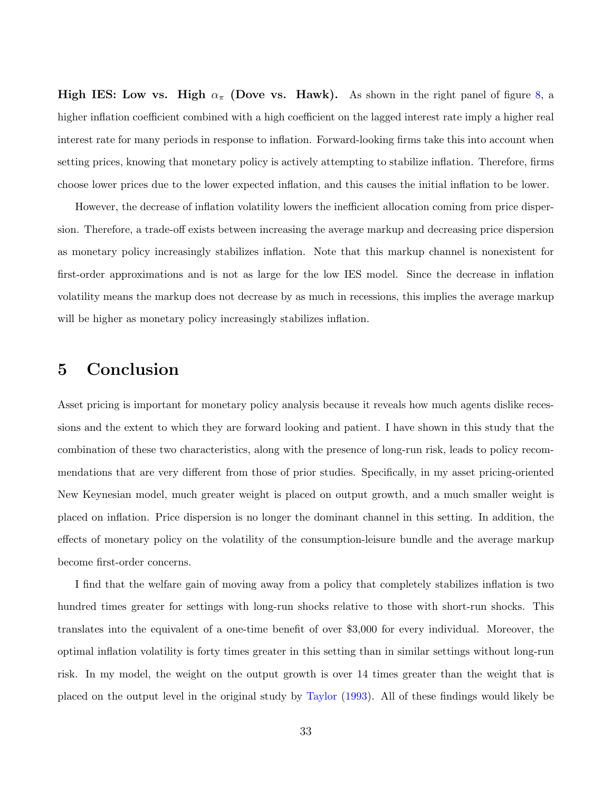**High IES:** Low vs. High  $\alpha_{\pi}$  (Dove vs. Hawk). As shown in the right panel of figure [8,](#page-32-0) a higher inflation coefficient combined with a high coefficient on the lagged interest rate imply a higher real interest rate for many periods in response to inflation. Forward-looking firms take this into account when setting prices, knowing that monetary policy is actively attempting to stabilize inflation. Therefore, firms choose lower prices due to the lower expected inflation, and this causes the initial inflation to be lower.

However, the decrease of inflation volatility lowers the inefficient allocation coming from price dispersion. Therefore, a trade-off exists between increasing the average markup and decreasing price dispersion as monetary policy increasingly stabilizes inflation. Note that this markup channel is nonexistent for first-order approximations and is not as large for the low IES model. Since the decrease in inflation volatility means the markup does not decrease by as much in recessions, this implies the average markup will be higher as monetary policy increasingly stabilizes inflation.

## <span id="page-33-0"></span>5 Conclusion

Asset pricing is important for monetary policy analysis because it reveals how much agents dislike recessions and the extent to which they are forward looking and patient. I have shown in this study that the combination of these two characteristics, along with the presence of long-run risk, leads to policy recommendations that are very different from those of prior studies. Specifically, in my asset pricing-oriented New Keynesian model, much greater weight is placed on output growth, and a much smaller weight is placed on inflation. Price dispersion is no longer the dominant channel in this setting. In addition, the effects of monetary policy on the volatility of the consumption-leisure bundle and the average markup become first-order concerns.

I find that the welfare gain of moving away from a policy that completely stabilizes inflation is two hundred times greater for settings with long-run shocks relative to those with short-run shocks. This translates into the equivalent of a one-time benefit of over \$3,000 for every individual. Moreover, the optimal inflation volatility is forty times greater in this setting than in similar settings without long-run risk. In my model, the weight on the output growth is over 14 times greater than the weight that is placed on the output level in the original study by [Taylor](#page-39-5) [\(1993\)](#page-39-5). All of these findings would likely be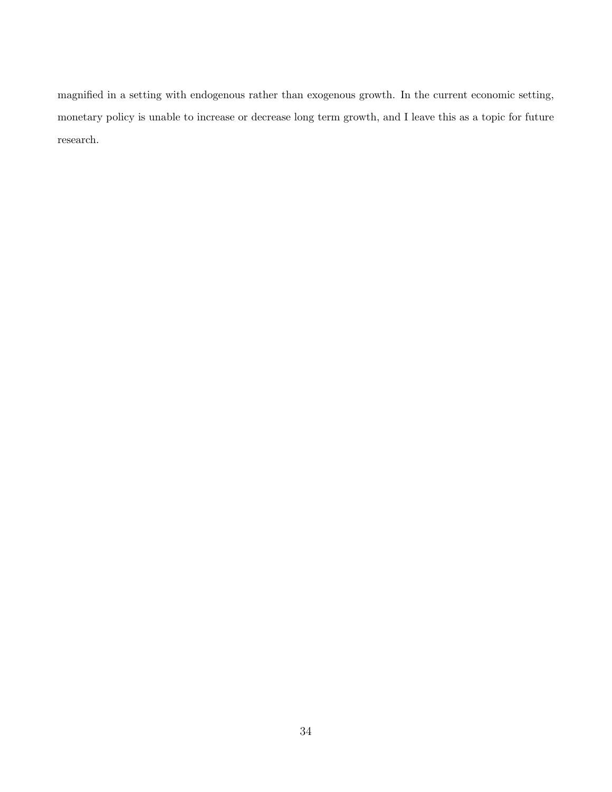magnified in a setting with endogenous rather than exogenous growth. In the current economic setting, monetary policy is unable to increase or decrease long term growth, and I leave this as a topic for future research.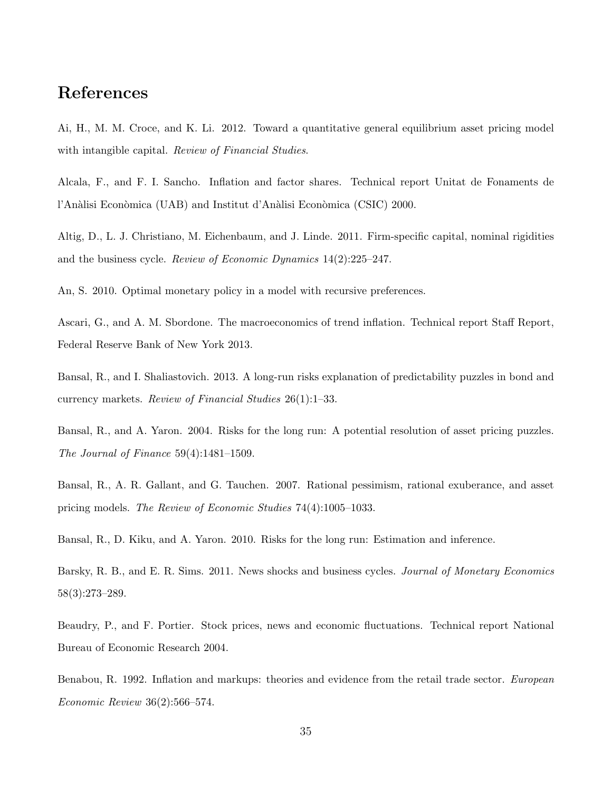## References

<span id="page-35-11"></span>Ai, H., M. M. Croce, and K. Li. 2012. Toward a quantitative general equilibrium asset pricing model with intangible capital. Review of Financial Studies.

<span id="page-35-6"></span>Alcala, F., and F. I. Sancho. Inflation and factor shares. Technical report Unitat de Fonaments de l'Anàlisi Econòmica (UAB) and Institut d'Anàlisi Econòmica (CSIC) 2000.

<span id="page-35-8"></span>Altig, D., L. J. Christiano, M. Eichenbaum, and J. Linde. 2011. Firm-specific capital, nominal rigidities and the business cycle. Review of Economic Dynamics 14(2):225–247.

<span id="page-35-3"></span>An, S. 2010. Optimal monetary policy in a model with recursive preferences.

<span id="page-35-4"></span>Ascari, G., and A. M. Sbordone. The macroeconomics of trend inflation. Technical report Staff Report, Federal Reserve Bank of New York 2013.

<span id="page-35-7"></span>Bansal, R., and I. Shaliastovich. 2013. A long-run risks explanation of predictability puzzles in bond and currency markets. Review of Financial Studies 26(1):1–33.

<span id="page-35-0"></span>Bansal, R., and A. Yaron. 2004. Risks for the long run: A potential resolution of asset pricing puzzles. The Journal of Finance 59(4):1481–1509.

<span id="page-35-9"></span>Bansal, R., A. R. Gallant, and G. Tauchen. 2007. Rational pessimism, rational exuberance, and asset pricing models. The Review of Economic Studies 74(4):1005–1033.

<span id="page-35-10"></span>Bansal, R., D. Kiku, and A. Yaron. 2010. Risks for the long run: Estimation and inference.

<span id="page-35-2"></span>Barsky, R. B., and E. R. Sims. 2011. News shocks and business cycles. Journal of Monetary Economics 58(3):273–289.

<span id="page-35-1"></span>Beaudry, P., and F. Portier. Stock prices, news and economic fluctuations. Technical report National Bureau of Economic Research 2004.

<span id="page-35-5"></span>Benabou, R. 1992. Inflation and markups: theories and evidence from the retail trade sector. *European* Economic Review 36(2):566–574.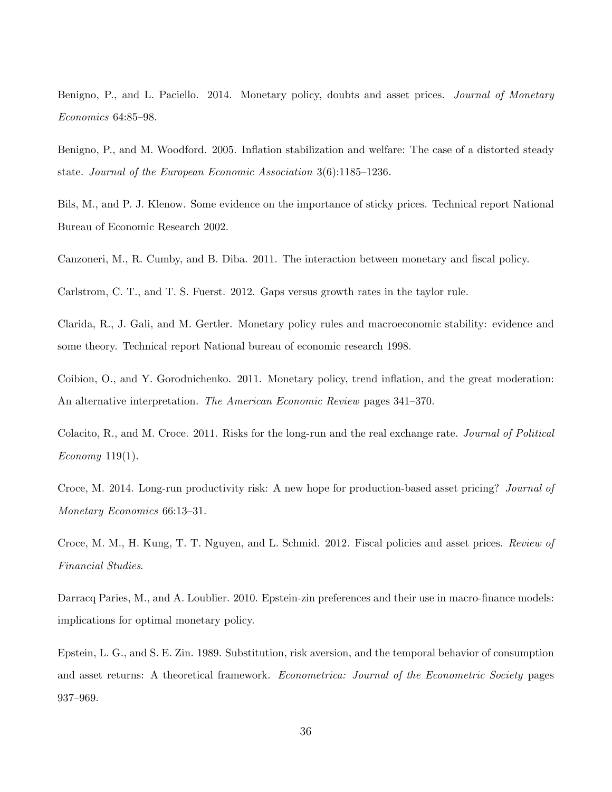<span id="page-36-5"></span>Benigno, P., and L. Paciello. 2014. Monetary policy, doubts and asset prices. *Journal of Monetary* Economics 64:85–98.

<span id="page-36-1"></span>Benigno, P., and M. Woodford. 2005. Inflation stabilization and welfare: The case of a distorted steady state. Journal of the European Economic Association 3(6):1185–1236.

<span id="page-36-9"></span>Bils, M., and P. J. Klenow. Some evidence on the importance of sticky prices. Technical report National Bureau of Economic Research 2002.

<span id="page-36-0"></span>Canzoneri, M., R. Cumby, and B. Diba. 2011. The interaction between monetary and fiscal policy.

<span id="page-36-8"></span>Carlstrom, C. T., and T. S. Fuerst. 2012. Gaps versus growth rates in the taylor rule.

<span id="page-36-6"></span>Clarida, R., J. Gali, and M. Gertler. Monetary policy rules and macroeconomic stability: evidence and some theory. Technical report National bureau of economic research 1998.

<span id="page-36-7"></span>Coibion, O., and Y. Gorodnichenko. 2011. Monetary policy, trend inflation, and the great moderation: An alternative interpretation. The American Economic Review pages 341–370.

<span id="page-36-11"></span>Colacito, R., and M. Croce. 2011. Risks for the long-run and the real exchange rate. Journal of Political Economy 119(1).

<span id="page-36-3"></span>Croce, M. 2014. Long-run productivity risk: A new hope for production-based asset pricing? Journal of Monetary Economics 66:13–31.

<span id="page-36-10"></span>Croce, M. M., H. Kung, T. T. Nguyen, and L. Schmid. 2012. Fiscal policies and asset prices. Review of Financial Studies.

<span id="page-36-4"></span>Darracq Paries, M., and A. Loublier. 2010. Epstein-zin preferences and their use in macro-finance models: implications for optimal monetary policy.

<span id="page-36-2"></span>Epstein, L. G., and S. E. Zin. 1989. Substitution, risk aversion, and the temporal behavior of consumption and asset returns: A theoretical framework. *Econometrica: Journal of the Econometric Society* pages 937–969.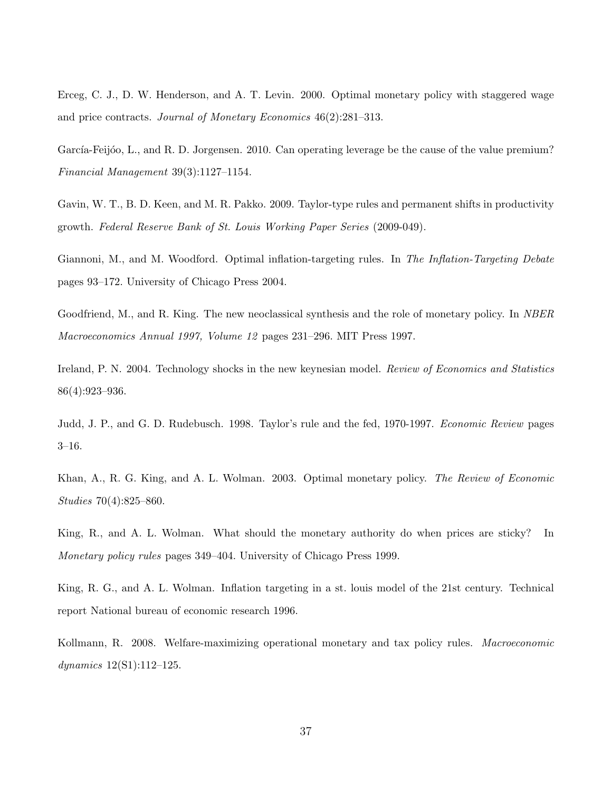<span id="page-37-4"></span>Erceg, C. J., D. W. Henderson, and A. T. Levin. 2000. Optimal monetary policy with staggered wage and price contracts. Journal of Monetary Economics 46(2):281–313.

<span id="page-37-10"></span>García-Feijóo, L., and R. D. Jorgensen. 2010. Can operating leverage be the cause of the value premium? Financial Management 39(3):1127–1154.

<span id="page-37-6"></span>Gavin, W. T., B. D. Keen, and M. R. Pakko. 2009. Taylor-type rules and permanent shifts in productivity growth. Federal Reserve Bank of St. Louis Working Paper Series (2009-049).

<span id="page-37-5"></span>Giannoni, M., and M. Woodford. Optimal inflation-targeting rules. In The Inflation-Targeting Debate pages 93–172. University of Chicago Press 2004.

<span id="page-37-0"></span>Goodfriend, M., and R. King. The new neoclassical synthesis and the role of monetary policy. In NBER Macroeconomics Annual 1997, Volume 12 pages 231–296. MIT Press 1997.

<span id="page-37-9"></span>Ireland, P. N. 2004. Technology shocks in the new keynesian model. Review of Economics and Statistics 86(4):923–936.

<span id="page-37-8"></span>Judd, J. P., and G. D. Rudebusch. 1998. Taylor's rule and the fed, 1970-1997. *Economic Review* pages 3–16.

<span id="page-37-2"></span>Khan, A., R. G. King, and A. L. Wolman. 2003. Optimal monetary policy. The Review of Economic Studies 70(4):825–860.

<span id="page-37-1"></span>King, R., and A. L. Wolman. What should the monetary authority do when prices are sticky? In Monetary policy rules pages 349–404. University of Chicago Press 1999.

<span id="page-37-7"></span>King, R. G., and A. L. Wolman. Inflation targeting in a st. louis model of the 21st century. Technical report National bureau of economic research 1996.

<span id="page-37-3"></span>Kollmann, R. 2008. Welfare-maximizing operational monetary and tax policy rules. Macroeconomic dynamics 12(S1):112–125.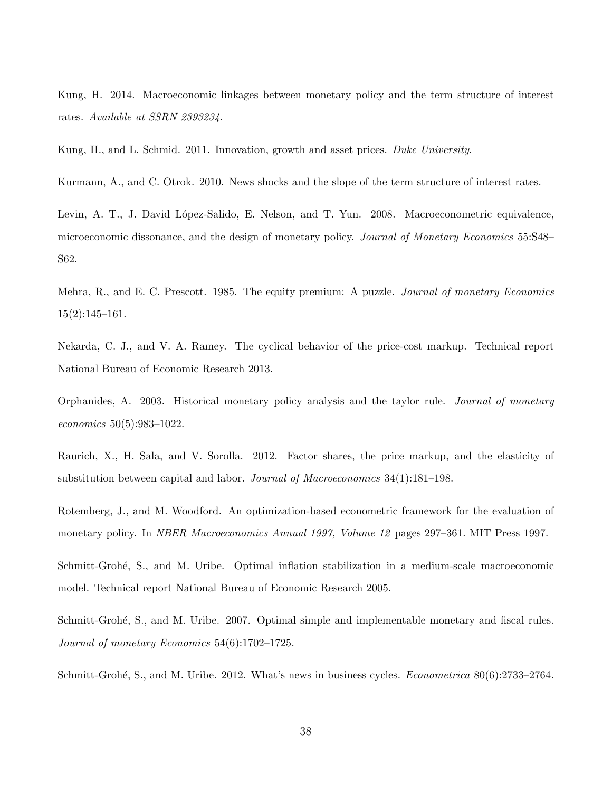<span id="page-38-7"></span>Kung, H. 2014. Macroeconomic linkages between monetary policy and the term structure of interest rates. Available at SSRN 2393234.

<span id="page-38-6"></span>Kung, H., and L. Schmid. 2011. Innovation, growth and asset prices. Duke University.

<span id="page-38-5"></span>Kurmann, A., and C. Otrok. 2010. News shocks and the slope of the term structure of interest rates.

<span id="page-38-8"></span>Levin, A. T., J. David López-Salido, E. Nelson, and T. Yun. 2008. Macroeconometric equivalence, microeconomic dissonance, and the design of monetary policy. Journal of Monetary Economics 55:S48– S62.

<span id="page-38-0"></span>Mehra, R., and E. C. Prescott. 1985. The equity premium: A puzzle. *Journal of monetary Economics* 15(2):145–161.

<span id="page-38-9"></span>Nekarda, C. J., and V. A. Ramey. The cyclical behavior of the price-cost markup. Technical report National Bureau of Economic Research 2013.

<span id="page-38-11"></span>Orphanides, A. 2003. Historical monetary policy analysis and the taylor rule. Journal of monetary economics 50(5):983–1022.

<span id="page-38-10"></span>Raurich, X., H. Sala, and V. Sorolla. 2012. Factor shares, the price markup, and the elasticity of substitution between capital and labor. Journal of Macroeconomics 34(1):181–198.

<span id="page-38-1"></span>Rotemberg, J., and M. Woodford. An optimization-based econometric framework for the evaluation of monetary policy. In *NBER Macroeconomics Annual 1997, Volume 12* pages 297–361. MIT Press 1997.

<span id="page-38-3"></span>Schmitt-Grohé, S., and M. Uribe. Optimal inflation stabilization in a medium-scale macroeconomic model. Technical report National Bureau of Economic Research 2005.

<span id="page-38-2"></span>Schmitt-Grohé, S., and M. Uribe. 2007. Optimal simple and implementable monetary and fiscal rules. Journal of monetary Economics 54(6):1702–1725.

<span id="page-38-4"></span>Schmitt-Grohé, S., and M. Uribe. 2012. What's news in business cycles. *Econometrica* 80(6):2733–2764.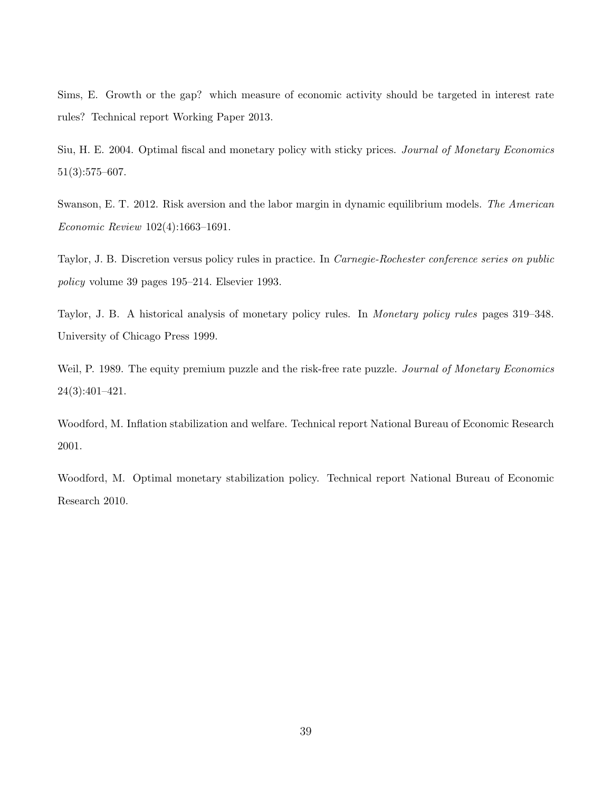<span id="page-39-2"></span>Sims, E. Growth or the gap? which measure of economic activity should be targeted in interest rate rules? Technical report Working Paper 2013.

<span id="page-39-4"></span>Siu, H. E. 2004. Optimal fiscal and monetary policy with sticky prices. Journal of Monetary Economics 51(3):575–607.

<span id="page-39-7"></span>Swanson, E. T. 2012. Risk aversion and the labor margin in dynamic equilibrium models. The American Economic Review 102(4):1663–1691.

<span id="page-39-5"></span>Taylor, J. B. Discretion versus policy rules in practice. In Carnegie-Rochester conference series on public policy volume 39 pages 195–214. Elsevier 1993.

<span id="page-39-6"></span>Taylor, J. B. A historical analysis of monetary policy rules. In Monetary policy rules pages 319–348. University of Chicago Press 1999.

<span id="page-39-0"></span>Weil, P. 1989. The equity premium puzzle and the risk-free rate puzzle. Journal of Monetary Economics 24(3):401–421.

<span id="page-39-3"></span>Woodford, M. Inflation stabilization and welfare. Technical report National Bureau of Economic Research 2001.

<span id="page-39-1"></span>Woodford, M. Optimal monetary stabilization policy. Technical report National Bureau of Economic Research 2010.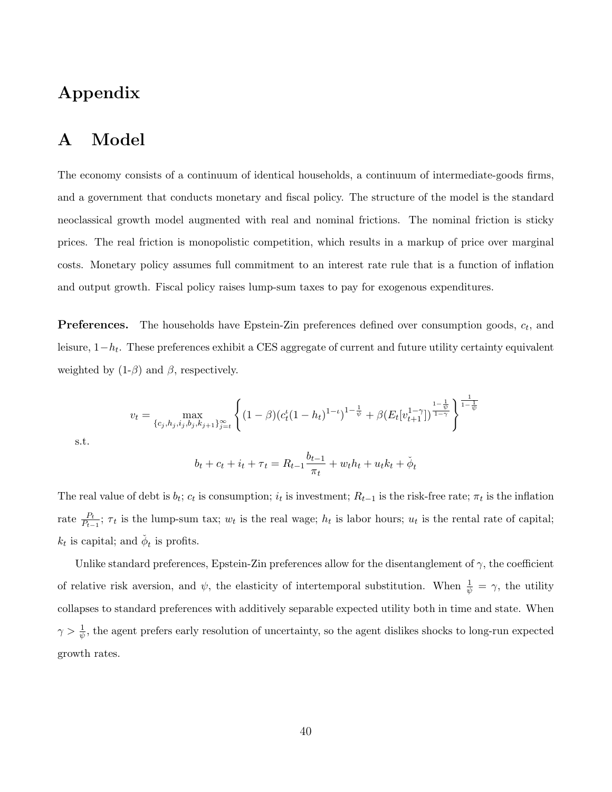## Appendix

## <span id="page-40-0"></span>A Model

The economy consists of a continuum of identical households, a continuum of intermediate-goods firms, and a government that conducts monetary and fiscal policy. The structure of the model is the standard neoclassical growth model augmented with real and nominal frictions. The nominal friction is sticky prices. The real friction is monopolistic competition, which results in a markup of price over marginal costs. Monetary policy assumes full commitment to an interest rate rule that is a function of inflation and output growth. Fiscal policy raises lump-sum taxes to pay for exogenous expenditures.

**Preferences.** The households have Epstein-Zin preferences defined over consumption goods,  $c_t$ , and leisure, 1−h<sup>t</sup> . These preferences exhibit a CES aggregate of current and future utility certainty equivalent weighted by  $(1-\beta)$  and  $\beta$ , respectively.

<span id="page-40-1"></span>
$$
v_t = \max_{\{c_j, h_j, i_j, b_j, k_{j+1}\}_{j=t}^{\infty}} \left\{ (1-\beta)(c_t^{\iota}(1-h_t)^{1-\iota})^{1-\frac{1}{\psi}} + \beta(E_t[v_{t+1}^{1-\gamma}])^{\frac{1-\frac{1}{\psi}}{1-\frac{1}{\psi}}}\right\}^{\frac{1}{1-\frac{1}{\psi}}}
$$

s.t.

$$
b_t + c_t + i_t + \tau_t = R_{t-1} \frac{b_{t-1}}{\pi_t} + w_t h_t + u_t k_t + \check{\phi}_t
$$

The real value of debt is  $b_t$ ;  $c_t$  is consumption;  $i_t$  is investment;  $R_{t-1}$  is the risk-free rate;  $\pi_t$  is the inflation rate  $\frac{P_t}{P_{t-1}}$ ;  $\tau_t$  is the lump-sum tax;  $w_t$  is the real wage;  $h_t$  is labor hours;  $u_t$  is the rental rate of capital;  $k_t$  is capital; and  $\phi_t$  is profits.

Unlike standard preferences, Epstein-Zin preferences allow for the disentanglement of  $\gamma$ , the coefficient of relative risk aversion, and  $\psi$ , the elasticity of intertemporal substitution. When  $\frac{1}{\psi} = \gamma$ , the utility collapses to standard preferences with additively separable expected utility both in time and state. When  $\gamma > \frac{1}{\psi}$ , the agent prefers early resolution of uncertainty, so the agent dislikes shocks to long-run expected growth rates.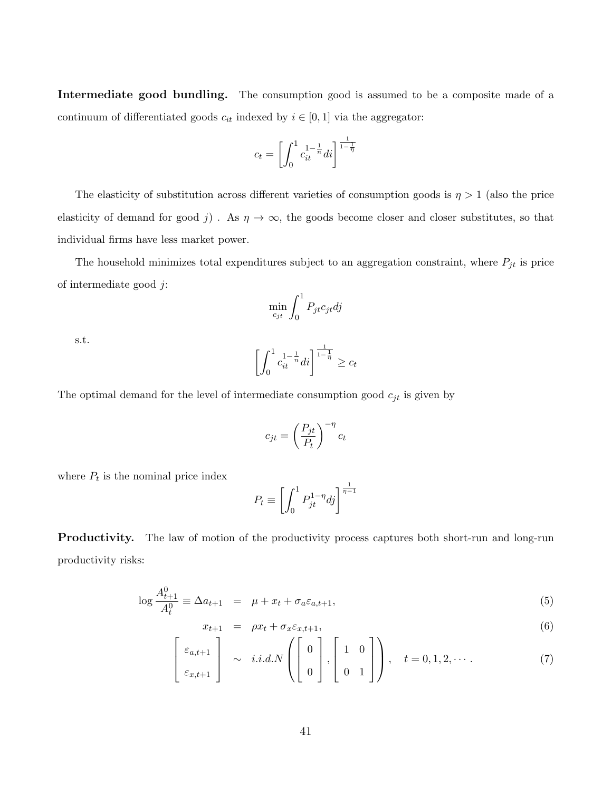Intermediate good bundling. The consumption good is assumed to be a composite made of a continuum of differentiated goods  $c_{it}$  indexed by  $i \in [0, 1]$  via the aggregator:

$$
c_t = \left[ \int_0^1 c_{it}^{1 - \frac{1}{n}} dt \right]^{\frac{1}{1 - \frac{1}{\eta}}}
$$

The elasticity of substitution across different varieties of consumption goods is  $\eta > 1$  (also the price elasticity of demand for good j). As  $\eta \to \infty$ , the goods become closer and closer substitutes, so that individual firms have less market power.

The household minimizes total expenditures subject to an aggregation constraint, where  $P_{jt}$  is price of intermediate good j:

$$
\min_{c_{jt}} \int_0^1 P_{jt} c_{jt} dj
$$

s.t.

$$
\left[\int_0^1 c_{it}^{1-\frac{1}{n}} dt\right]^{\frac{1}{1-\frac{1}{\eta}}} \ge c_t
$$

The optimal demand for the level of intermediate consumption good  $c_{jt}$  is given by

$$
c_{jt}=\left(\frac{P_{jt}}{P_t}\right)^{-\eta}c_t
$$

where  $P_t$  is the nominal price index

$$
P_t \equiv \left[ \int_0^1 P_{jt}^{1-\eta} dj \right]^{\frac{1}{\eta-1}}
$$

Productivity. The law of motion of the productivity process captures both short-run and long-run productivity risks:

$$
\log \frac{A_{t+1}^0}{A_t^0} \equiv \Delta a_{t+1} = \mu + x_t + \sigma_a \varepsilon_{a,t+1},\tag{5}
$$

$$
x_{t+1} = \rho x_t + \sigma_x \varepsilon_{x,t+1}, \tag{6}
$$

$$
\begin{bmatrix} \varepsilon_{a,t+1} \\ \varepsilon_{x,t+1} \end{bmatrix} \sim i.i.d.N \left( \begin{bmatrix} 0 \\ 0 \end{bmatrix}, \begin{bmatrix} 1 & 0 \\ 0 & 1 \end{bmatrix} \right), \quad t = 0, 1, 2, \cdots. \tag{7}
$$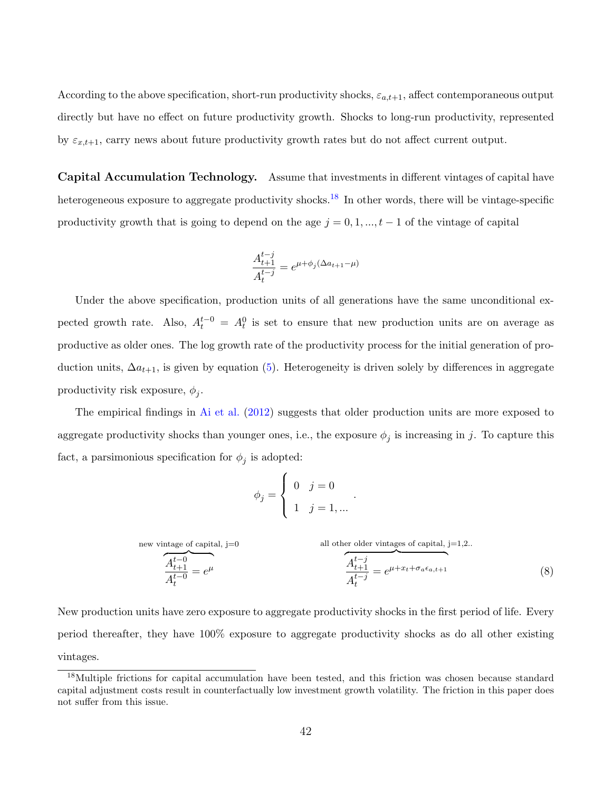According to the above specification, short-run productivity shocks,  $\varepsilon_{a,t+1}$ , affect contemporaneous output directly but have no effect on future productivity growth. Shocks to long-run productivity, represented by  $\varepsilon_{x,t+1}$ , carry news about future productivity growth rates but do not affect current output.

Capital Accumulation Technology. Assume that investments in different vintages of capital have heterogeneous exposure to aggregate productivity shocks.<sup>[18](#page-42-0)</sup> In other words, there will be vintage-specific productivity growth that is going to depend on the age  $j = 0, 1, ..., t - 1$  of the vintage of capital

$$
\frac{A_{t+1}^{t-j}}{A_t^{t-j}} = e^{\mu + \phi_j(\Delta a_{t+1} - \mu)}
$$

Under the above specification, production units of all generations have the same unconditional expected growth rate. Also,  $A_t^{t-0} = A_t^0$  is set to ensure that new production units are on average as productive as older ones. The log growth rate of the productivity process for the initial generation of production units,  $\Delta a_{t+1}$ , is given by equation [\(5\)](#page-40-1). Heterogeneity is driven solely by differences in aggregate productivity risk exposure,  $\phi_j$ .

The empirical findings in [Ai et al.](#page-35-11) [\(2012\)](#page-35-11) suggests that older production units are more exposed to aggregate productivity shocks than younger ones, i.e., the exposure  $\phi_j$  is increasing in j. To capture this fact, a parsimonious specification for  $\phi_j$  is adopted:

$$
\phi_j = \begin{cases} 0 & j = 0 \\ 1 & j = 1, \dots \end{cases}
$$

new vintage of capital, j=0  
\n
$$
\overbrace{A_{t+1}^{t-0}}^{A_{t+1}^{t-0}} = e^{\mu}
$$
\nall other older vintages of capital, j=1,2..  
\n
$$
\overbrace{A_{t+1}^{t-1}}^{A_{t+1}^{t-1}} = e^{\mu + x_t + \sigma_a \epsilon_{a,t+1}}
$$
\n(8)

.

New production units have zero exposure to aggregate productivity shocks in the first period of life. Every period thereafter, they have 100% exposure to aggregate productivity shocks as do all other existing vintages.

<span id="page-42-0"></span><sup>&</sup>lt;sup>18</sup>Multiple frictions for capital accumulation have been tested, and this friction was chosen because standard capital adjustment costs result in counterfactually low investment growth volatility. The friction in this paper does not suffer from this issue.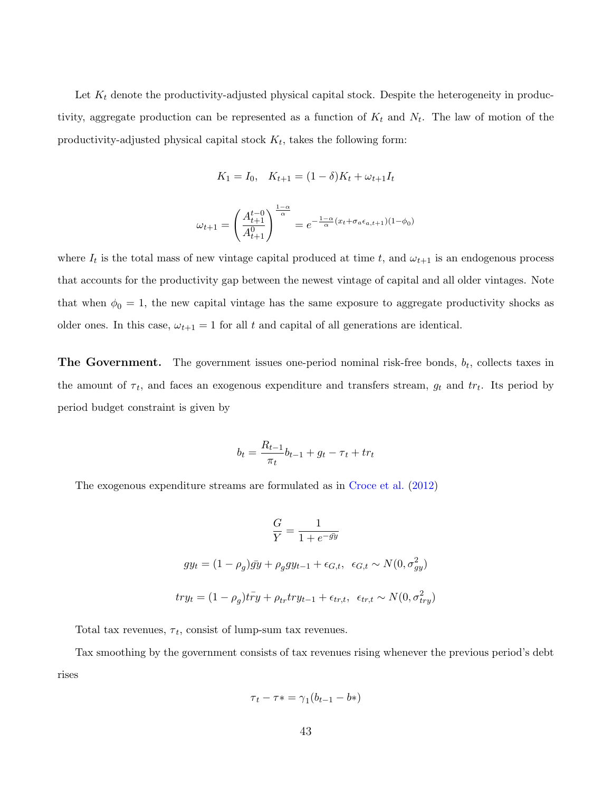Let  $K_t$  denote the productivity-adjusted physical capital stock. Despite the heterogeneity in productivity, aggregate production can be represented as a function of  $K_t$  and  $N_t$ . The law of motion of the productivity-adjusted physical capital stock  $K_t$ , takes the following form:

$$
K_1 = I_0, \quad K_{t+1} = (1 - \delta)K_t + \omega_{t+1}I_t
$$

$$
\omega_{t+1} = \left(\frac{A_{t+1}^{t-0}}{A_{t+1}^0}\right)^{\frac{1-\alpha}{\alpha}} = e^{-\frac{1-\alpha}{\alpha}(x_t + \sigma_a \epsilon_{a,t+1})(1-\phi_0)}
$$

where  $I_t$  is the total mass of new vintage capital produced at time t, and  $\omega_{t+1}$  is an endogenous process that accounts for the productivity gap between the newest vintage of capital and all older vintages. Note that when  $\phi_0 = 1$ , the new capital vintage has the same exposure to aggregate productivity shocks as older ones. In this case,  $\omega_{t+1} = 1$  for all t and capital of all generations are identical.

**The Government.** The government issues one-period nominal risk-free bonds,  $b_t$ , collects taxes in the amount of  $\tau_t$ , and faces an exogenous expenditure and transfers stream,  $g_t$  and  $tr_t$ . Its period by period budget constraint is given by

$$
b_t = \frac{R_{t-1}}{\pi_t} b_{t-1} + g_t - \tau_t + tr_t
$$

The exogenous expenditure streams are formulated as in [Croce et al.](#page-36-10) [\(2012\)](#page-36-10)

$$
\frac{G}{Y} = \frac{1}{1 + e^{-\bar{g}y}}
$$
  

$$
gy_t = (1 - \rho_g)\bar{g}y + \rho_g gy_{t-1} + \epsilon_{G,t}, \ \epsilon_{G,t} \sim N(0, \sigma_{gy}^2)
$$
  

$$
try_t = (1 - \rho_g)t\bar{r}y + \rho_{tr}try_{t-1} + \epsilon_{tr,t}, \ \epsilon_{tr,t} \sim N(0, \sigma_{try}^2)
$$

Total tax revenues,  $\tau_t$ , consist of lump-sum tax revenues.

Tax smoothing by the government consists of tax revenues rising whenever the previous period's debt rises

$$
\tau_t - \tau \ast = \gamma_1 (b_{t-1} - b \ast)
$$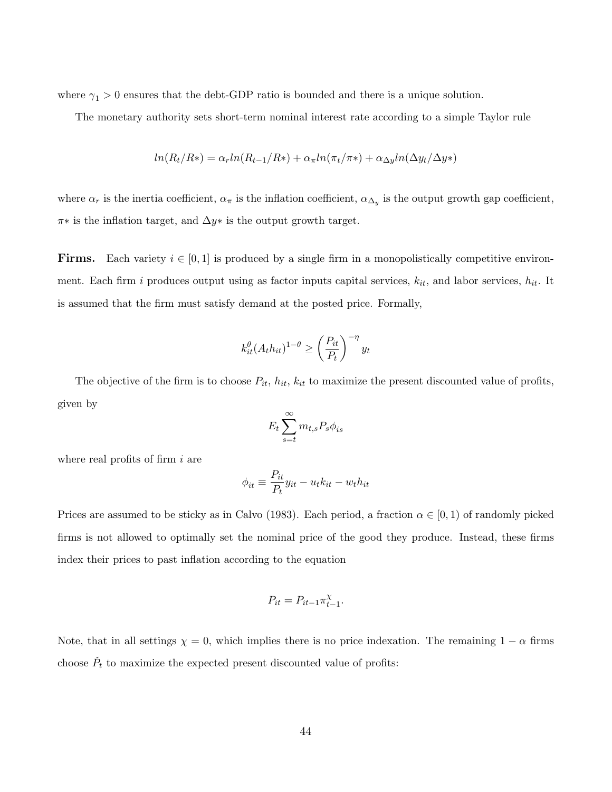where  $\gamma_1 > 0$  ensures that the debt-GDP ratio is bounded and there is a unique solution.

The monetary authority sets short-term nominal interest rate according to a simple Taylor rule

$$
ln(R_t/R*) = \alpha_r ln(R_{t-1}/R*) + \alpha_{\pi} ln(\pi_t/\pi*) + \alpha_{\Delta y} ln(\Delta y_t/\Delta y*)
$$

where  $\alpha_r$  is the inertia coefficient,  $\alpha_\pi$  is the inflation coefficient,  $\alpha_{\Delta_y}$  is the output growth gap coefficient,  $\pi*$  is the inflation target, and  $\Delta y*$  is the output growth target.

**Firms.** Each variety  $i \in [0, 1]$  is produced by a single firm in a monopolistically competitive environment. Each firm i produces output using as factor inputs capital services,  $k_{it}$ , and labor services,  $h_{it}$ . It is assumed that the firm must satisfy demand at the posted price. Formally,

$$
k_{it}^{\theta}(A_t h_{it})^{1-\theta} \ge \left(\frac{P_{it}}{P_t}\right)^{-\eta} y_t
$$

The objective of the firm is to choose  $P_{it}$ ,  $h_{it}$ ,  $k_{it}$  to maximize the present discounted value of profits, given by

$$
E_t \sum_{s=t}^{\infty} m_{t,s} P_s \phi_{is}
$$

where real profits of firm  $i$  are

$$
\phi_{it} \equiv \frac{P_{it}}{P_t} y_{it} - u_t k_{it} - w_t h_{it}
$$

Prices are assumed to be sticky as in Calvo (1983). Each period, a fraction  $\alpha \in [0,1)$  of randomly picked firms is not allowed to optimally set the nominal price of the good they produce. Instead, these firms index their prices to past inflation according to the equation

$$
P_{it} = P_{it-1} \pi_{t-1}^{\chi}.
$$

Note, that in all settings  $\chi = 0$ , which implies there is no price indexation. The remaining  $1 - \alpha$  firms choose  $\check{P}_t$  to maximize the expected present discounted value of profits: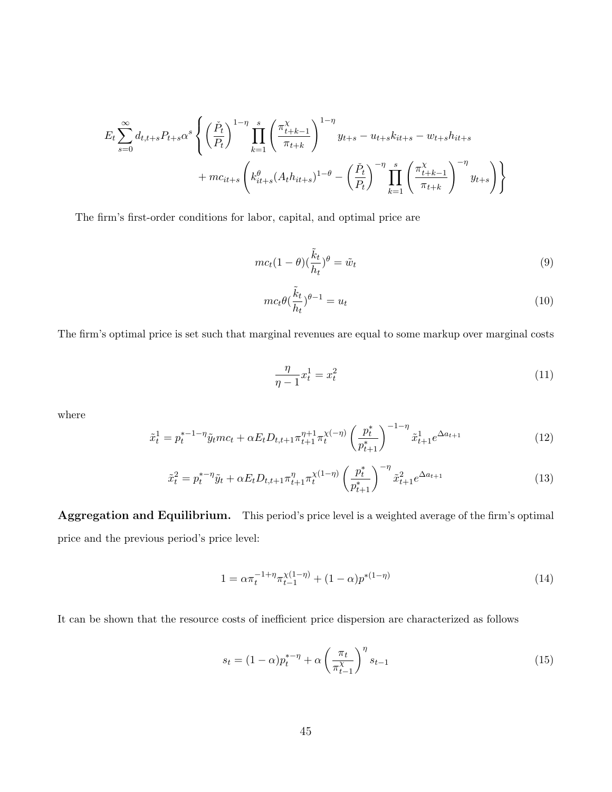$$
E_{t} \sum_{s=0}^{\infty} d_{t,t+s} P_{t+s} \alpha^{s} \left\{ \left( \frac{\check{P}_{t}}{P_{t}} \right)^{1-\eta} \prod_{k=1}^{s} \left( \frac{\pi_{t+k-1}^{\chi}}{\pi_{t+k}} \right)^{1-\eta} y_{t+s} - u_{t+s} k_{it+s} - w_{t+s} h_{it+s} + mc_{it+s} \left( k_{it+s}^{\theta} (A_{t} h_{it+s})^{1-\theta} - \left( \frac{\check{P}_{t}}{P_{t}} \right)^{-\eta} \prod_{k=1}^{s} \left( \frac{\pi_{t+k-1}^{\chi}}{\pi_{t+k}} \right)^{-\eta} y_{t+s} \right) \right\}
$$

The firm's first-order conditions for labor, capital, and optimal price are

$$
mc_t(1-\theta)(\frac{\tilde{k}_t}{h_t})^{\theta} = \tilde{w}_t
$$
\n(9)

$$
mc_t \theta \left(\frac{\tilde{k}_t}{h_t}\right)^{\theta - 1} = u_t \tag{10}
$$

The firm's optimal price is set such that marginal revenues are equal to some markup over marginal costs

$$
\frac{\eta}{\eta - 1} x_t^1 = x_t^2 \tag{11}
$$

where

$$
\tilde{x}_t^1 = p_t^{*-1-\eta} \tilde{y}_t m c_t + \alpha E_t D_{t,t+1} \pi_{t+1}^{\eta+1} \pi_t^{\chi(-\eta)} \left(\frac{p_t^*}{p_{t+1}^*}\right)^{-1-\eta} \tilde{x}_{t+1}^1 e^{\Delta a_{t+1}}
$$
\n(12)

$$
\tilde{x}_t^2 = p_t^{* - \eta} \tilde{y}_t + \alpha E_t D_{t, t+1} \pi_{t+1}^{\eta} \pi_t^{\chi(1-\eta)} \left(\frac{p_t^*}{p_{t+1}^*}\right)^{-\eta} \tilde{x}_{t+1}^2 e^{\Delta a_{t+1}}
$$
\n(13)

Aggregation and Equilibrium. This period's price level is a weighted average of the firm's optimal price and the previous period's price level:

$$
1 = \alpha \pi_t^{-1+\eta} \pi_{t-1}^{\chi(1-\eta)} + (1-\alpha) p^{*(1-\eta)}
$$
\n(14)

It can be shown that the resource costs of inefficient price dispersion are characterized as follows

$$
s_t = (1 - \alpha)p_t^{* - \eta} + \alpha \left(\frac{\pi_t}{\pi_{t-1}^{\chi}}\right)^{\eta} s_{t-1}
$$
\n(15)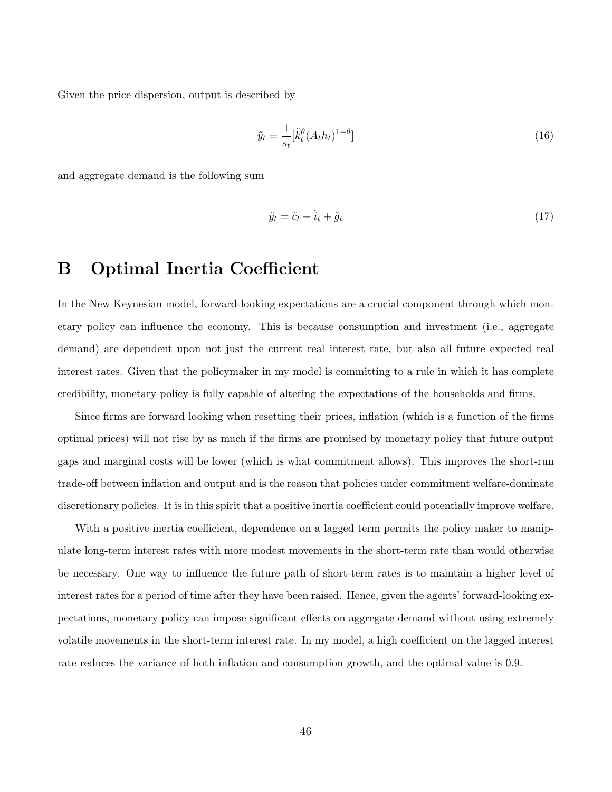Given the price dispersion, output is described by

$$
\tilde{y}_t = \frac{1}{s_t} [\tilde{k}_t^{\theta} (A_t h_t)^{1-\theta}] \tag{16}
$$

and aggregate demand is the following sum

$$
\tilde{y}_t = \tilde{c}_t + \tilde{i}_t + \tilde{g}_t \tag{17}
$$

## <span id="page-46-0"></span>B Optimal Inertia Coefficient

In the New Keynesian model, forward-looking expectations are a crucial component through which monetary policy can influence the economy. This is because consumption and investment (i.e., aggregate demand) are dependent upon not just the current real interest rate, but also all future expected real interest rates. Given that the policymaker in my model is committing to a rule in which it has complete credibility, monetary policy is fully capable of altering the expectations of the households and firms.

Since firms are forward looking when resetting their prices, inflation (which is a function of the firms optimal prices) will not rise by as much if the firms are promised by monetary policy that future output gaps and marginal costs will be lower (which is what commitment allows). This improves the short-run trade-off between inflation and output and is the reason that policies under commitment welfare-dominate discretionary policies. It is in this spirit that a positive inertia coefficient could potentially improve welfare.

With a positive inertia coefficient, dependence on a lagged term permits the policy maker to manipulate long-term interest rates with more modest movements in the short-term rate than would otherwise be necessary. One way to influence the future path of short-term rates is to maintain a higher level of interest rates for a period of time after they have been raised. Hence, given the agents' forward-looking expectations, monetary policy can impose significant effects on aggregate demand without using extremely volatile movements in the short-term interest rate. In my model, a high coefficient on the lagged interest rate reduces the variance of both inflation and consumption growth, and the optimal value is 0.9.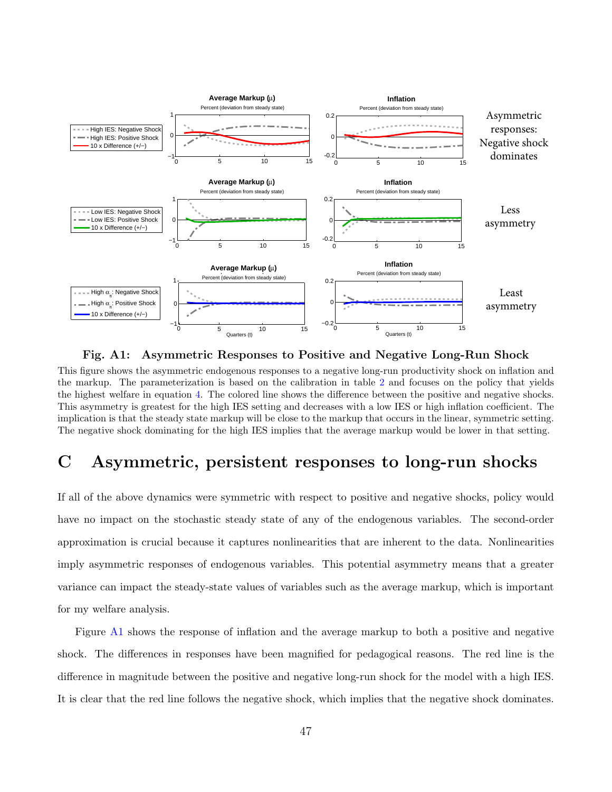

Fig. A1: Asymmetric Responses to Positive and Negative Long-Run Shock

This figure shows the asymmetric endogenous responses to a negative long-run productivity shock on inflation and the markup. The parameterization is based on the calibration in table [2](#page-19-0) and focuses on the policy that yields the highest welfare in equation [4.](#page-22-1) The colored line shows the difference between the positive and negative shocks. This asymmetry is greatest for the high IES setting and decreases with a low IES or high inflation coefficient. The implication is that the steady state markup will be close to the markup that occurs in the linear, symmetric setting. The negative shock dominating for the high IES implies that the average markup would be lower in that setting.

## <span id="page-47-0"></span>C Asymmetric, persistent responses to long-run shocks

If all of the above dynamics were symmetric with respect to positive and negative shocks, policy would have no impact on the stochastic steady state of any of the endogenous variables. The second-order approximation is crucial because it captures nonlinearities that are inherent to the data. Nonlinearities imply asymmetric responses of endogenous variables. This potential asymmetry means that a greater variance can impact the steady-state values of variables such as the average markup, which is important for my welfare analysis.

Figure [A1](#page-15-0) shows the response of inflation and the average markup to both a positive and negative shock. The differences in responses have been magnified for pedagogical reasons. The red line is the difference in magnitude between the positive and negative long-run shock for the model with a high IES. It is clear that the red line follows the negative shock, which implies that the negative shock dominates.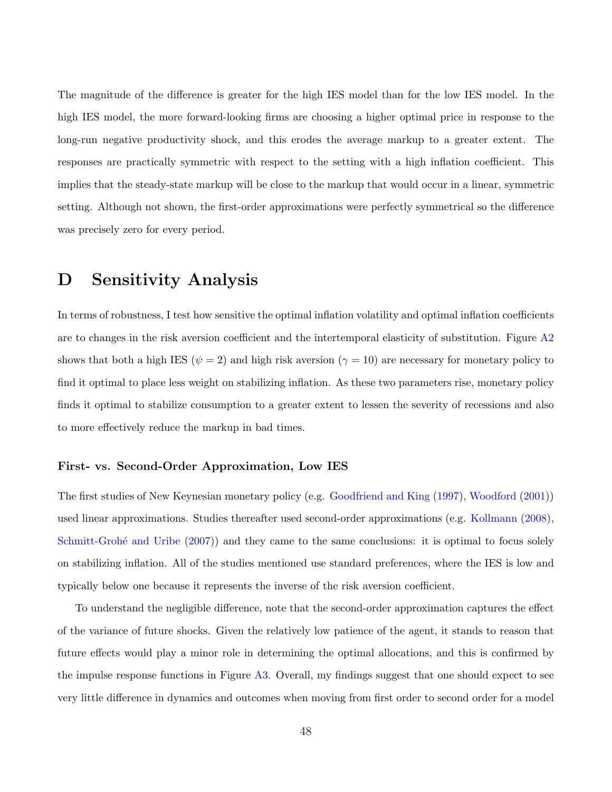The magnitude of the difference is greater for the high IES model than for the low IES model. In the high IES model, the more forward-looking firms are choosing a higher optimal price in response to the long-run negative productivity shock, and this erodes the average markup to a greater extent. The responses are practically symmetric with respect to the setting with a high inflation coefficient. This implies that the steady-state markup will be close to the markup that would occur in a linear, symmetric setting. Although not shown, the first-order approximations were perfectly symmetrical so the difference was precisely zero for every period.

## <span id="page-48-0"></span>D Sensitivity Analysis

In terms of robustness, I test how sensitive the optimal inflation volatility and optimal inflation coefficients are to changes in the risk aversion coefficient and the intertemporal elasticity of substitution. Figure  $A2$ shows that both a high IES ( $\psi = 2$ ) and high risk aversion ( $\gamma = 10$ ) are necessary for monetary policy to find it optimal to place less weight on stabilizing inflation. As these two parameters rise, monetary policy finds it optimal to stabilize consumption to a greater extent to lessen the severity of recessions and also to more effectively reduce the markup in bad times.

#### First- vs. Second-Order Approximation, Low IES

The first studies of New Keynesian monetary policy (e.g. [Goodfriend and King](#page-37-0) [\(1997\)](#page-37-0), [Woodford](#page-39-3) [\(2001\)](#page-39-3)) used linear approximations. Studies thereafter used second-order approximations (e.g. [Kollmann](#page-37-3) [\(2008\)](#page-37-3), Schmitt-Grohé and Uribe [\(2007\)](#page-38-2)) and they came to the same conclusions: it is optimal to focus solely on stabilizing inflation. All of the studies mentioned use standard preferences, where the IES is low and typically below one because it represents the inverse of the risk aversion coefficient.

To understand the negligible difference, note that the second-order approximation captures the effect of the variance of future shocks. Given the relatively low patience of the agent, it stands to reason that future effects would play a minor role in determining the optimal allocations, and this is confirmed by the impulse response functions in Figure [A3.](#page-27-0) Overall, my findings suggest that one should expect to see very little difference in dynamics and outcomes when moving from first order to second order for a model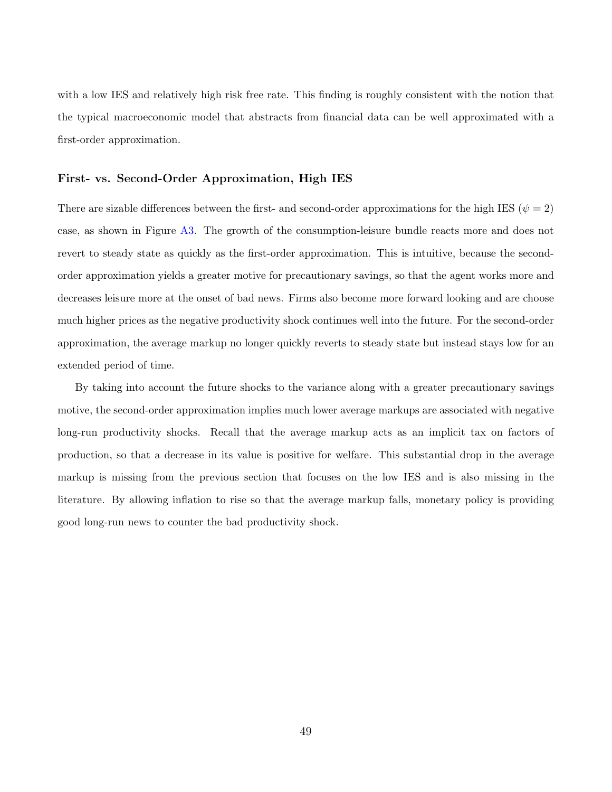with a low IES and relatively high risk free rate. This finding is roughly consistent with the notion that the typical macroeconomic model that abstracts from financial data can be well approximated with a first-order approximation.

#### First- vs. Second-Order Approximation, High IES

There are sizable differences between the first- and second-order approximations for the high IES ( $\psi = 2$ ) case, as shown in Figure [A3.](#page-27-0) The growth of the consumption-leisure bundle reacts more and does not revert to steady state as quickly as the first-order approximation. This is intuitive, because the secondorder approximation yields a greater motive for precautionary savings, so that the agent works more and decreases leisure more at the onset of bad news. Firms also become more forward looking and are choose much higher prices as the negative productivity shock continues well into the future. For the second-order approximation, the average markup no longer quickly reverts to steady state but instead stays low for an extended period of time.

By taking into account the future shocks to the variance along with a greater precautionary savings motive, the second-order approximation implies much lower average markups are associated with negative long-run productivity shocks. Recall that the average markup acts as an implicit tax on factors of production, so that a decrease in its value is positive for welfare. This substantial drop in the average markup is missing from the previous section that focuses on the low IES and is also missing in the literature. By allowing inflation to rise so that the average markup falls, monetary policy is providing good long-run news to counter the bad productivity shock.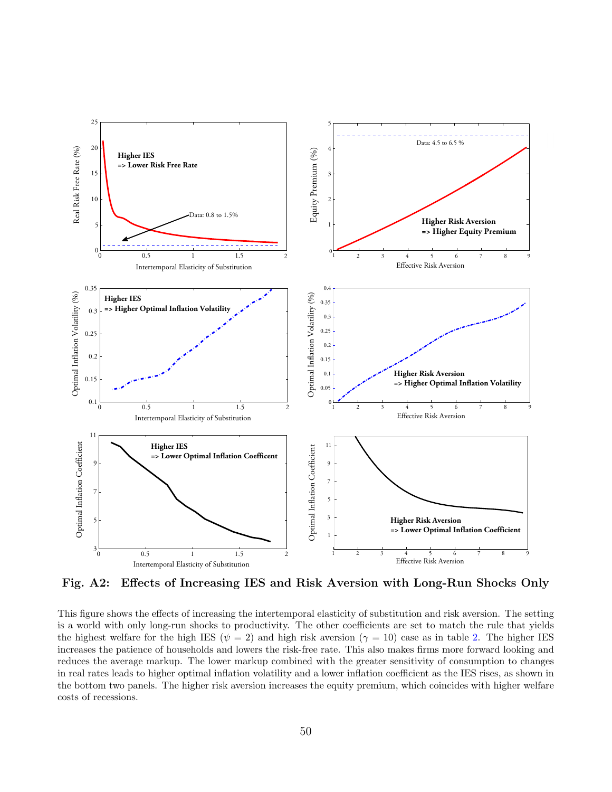![](_page_50_Figure_0.jpeg)

Fig. A2: Effects of Increasing IES and Risk Aversion with Long-Run Shocks Only

This figure shows the effects of increasing the intertemporal elasticity of substitution and risk aversion. The setting is a world with only long-run shocks to productivity. The other coefficients are set to match the rule that yields the highest welfare for the high IES ( $\psi = 2$ ) and high risk aversion ( $\gamma = 10$ ) case as in table [2.](#page-19-0) The higher IES increases the patience of households and lowers the risk-free rate. This also makes firms more forward looking and reduces the average markup. The lower markup combined with the greater sensitivity of consumption to changes in real rates leads to higher optimal inflation volatility and a lower inflation coefficient as the IES rises, as shown in the bottom two panels. The higher risk aversion increases the equity premium, which coincides with higher welfare costs of recessions.